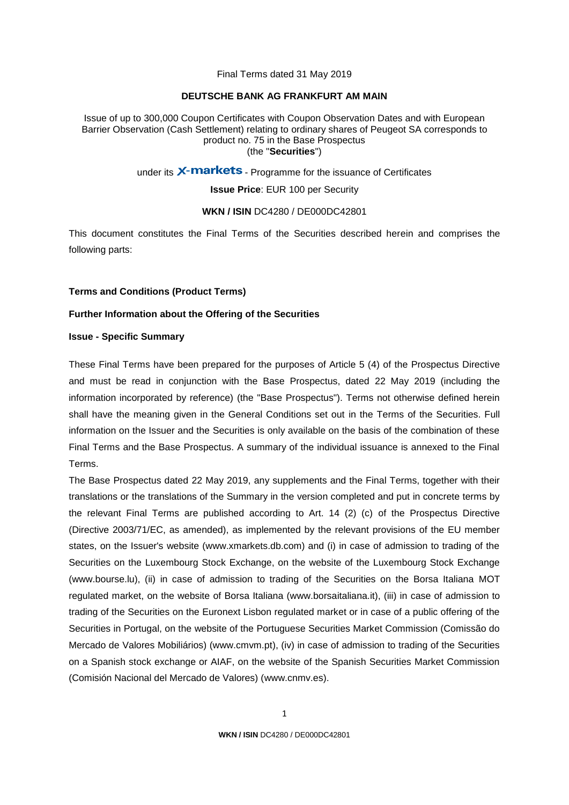Final Terms dated 31 May 2019

### **DEUTSCHE BANK AG FRANKFURT AM MAIN**

Issue of up to 300,000 Coupon Certificates with Coupon Observation Dates and with European Barrier Observation (Cash Settlement) relating to ordinary shares of Peugeot SA corresponds to product no. 75 in the Base Prospectus (the "**Securities**")

under its X-markets - Programme for the issuance of Certificates

**Issue Price**: EUR 100 per Security

#### **WKN / ISIN** DC4280 / DE000DC42801

This document constitutes the Final Terms of the Securities described herein and comprises the following parts:

### **Terms and Conditions (Product Terms)**

# **Further Information about the Offering of the Securities**

## **Issue - Specific Summary**

These Final Terms have been prepared for the purposes of Article 5 (4) of the Prospectus Directive and must be read in conjunction with the Base Prospectus, dated 22 May 2019 (including the information incorporated by reference) (the "Base Prospectus"). Terms not otherwise defined herein shall have the meaning given in the General Conditions set out in the Terms of the Securities. Full information on the Issuer and the Securities is only available on the basis of the combination of these Final Terms and the Base Prospectus. A summary of the individual issuance is annexed to the Final Terms.

The Base Prospectus dated 22 May 2019, any supplements and the Final Terms, together with their translations or the translations of the Summary in the version completed and put in concrete terms by the relevant Final Terms are published according to Art. 14 (2) (c) of the Prospectus Directive (Directive 2003/71/EC, as amended), as implemented by the relevant provisions of the EU member states, on the Issuer's website (www.xmarkets.db.com) and (i) in case of admission to trading of the Securities on the Luxembourg Stock Exchange, on the website of the Luxembourg Stock Exchange (www.bourse.lu), (ii) in case of admission to trading of the Securities on the Borsa Italiana MOT regulated market, on the website of Borsa Italiana (www.borsaitaliana.it), (iii) in case of admission to trading of the Securities on the Euronext Lisbon regulated market or in case of a public offering of the Securities in Portugal, on the website of the Portuguese Securities Market Commission (Comissão do Mercado de Valores Mobiliários) (www.cmvm.pt), (iv) in case of admission to trading of the Securities on a Spanish stock exchange or AIAF, on the website of the Spanish Securities Market Commission (Comisión Nacional del Mercado de Valores) [\(www.cnmv.es\)](http://www.cnmv.es/).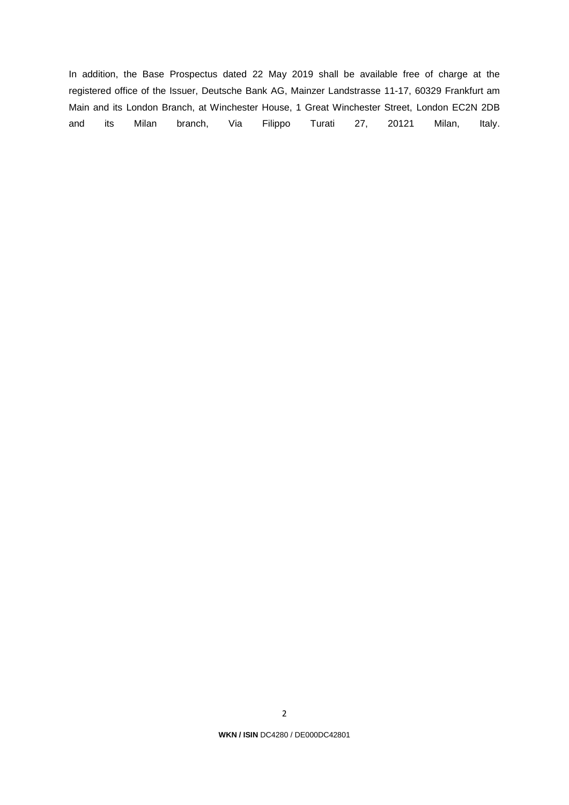In addition, the Base Prospectus dated 22 May 2019 shall be available free of charge at the registered office of the Issuer, Deutsche Bank AG, Mainzer Landstrasse 11-17, 60329 Frankfurt am Main and its London Branch, at Winchester House, 1 Great Winchester Street, London EC2N 2DB and its Milan branch, Via Filippo Turati 27, 20121 Milan, Italy.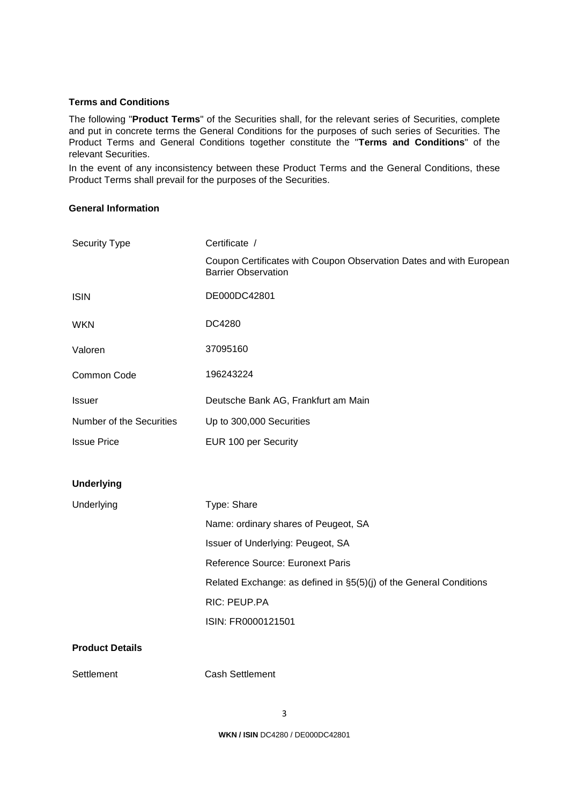# **Terms and Conditions**

The following "**Product Terms**" of the Securities shall, for the relevant series of Securities, complete and put in concrete terms the General Conditions for the purposes of such series of Securities. The Product Terms and General Conditions together constitute the "**Terms and Conditions**" of the relevant Securities.

In the event of any inconsistency between these Product Terms and the General Conditions, these Product Terms shall prevail for the purposes of the Securities.

# **General Information**

| Security Type            | Certificate /                                                                                     |
|--------------------------|---------------------------------------------------------------------------------------------------|
|                          | Coupon Certificates with Coupon Observation Dates and with European<br><b>Barrier Observation</b> |
| <b>ISIN</b>              | DE000DC42801                                                                                      |
| <b>WKN</b>               | DC4280                                                                                            |
| Valoren                  | 37095160                                                                                          |
| Common Code              | 196243224                                                                                         |
| <b>Issuer</b>            | Deutsche Bank AG, Frankfurt am Main                                                               |
| Number of the Securities | Up to 300,000 Securities                                                                          |
| <b>Issue Price</b>       | EUR 100 per Security                                                                              |
|                          |                                                                                                   |
|                          |                                                                                                   |
| <b>Underlying</b>        |                                                                                                   |
| Underlying               | Type: Share                                                                                       |
|                          | Name: ordinary shares of Peugeot, SA                                                              |
|                          | Issuer of Underlying: Peugeot, SA                                                                 |
|                          | Reference Source: Euronext Paris                                                                  |
|                          | Related Exchange: as defined in §5(5)(j) of the General Conditions                                |
|                          | RIC: PEUP.PA                                                                                      |
|                          | ISIN: FR0000121501                                                                                |
| <b>Product Details</b>   |                                                                                                   |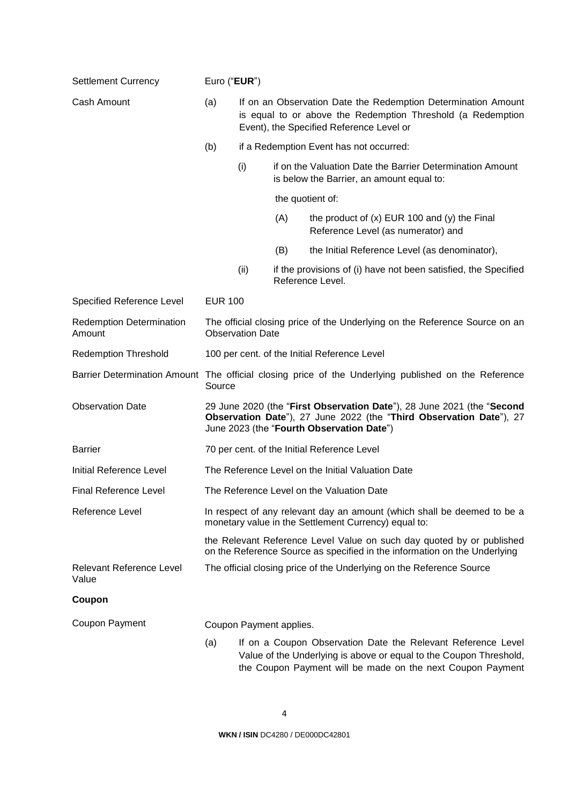| <b>Settlement Currency</b>                | Euro ("EUR")                                                                                                                                                                               |                                         |                         |                                                                                                                                                                                                  |
|-------------------------------------------|--------------------------------------------------------------------------------------------------------------------------------------------------------------------------------------------|-----------------------------------------|-------------------------|--------------------------------------------------------------------------------------------------------------------------------------------------------------------------------------------------|
| Cash Amount                               | (a)<br>If on an Observation Date the Redemption Determination Amount<br>is equal to or above the Redemption Threshold (a Redemption<br>Event), the Specified Reference Level or            |                                         |                         |                                                                                                                                                                                                  |
|                                           | (b)                                                                                                                                                                                        | if a Redemption Event has not occurred: |                         |                                                                                                                                                                                                  |
|                                           |                                                                                                                                                                                            | (i)                                     |                         | if on the Valuation Date the Barrier Determination Amount<br>is below the Barrier, an amount equal to:                                                                                           |
|                                           |                                                                                                                                                                                            |                                         |                         | the quotient of:                                                                                                                                                                                 |
|                                           |                                                                                                                                                                                            |                                         | (A)                     | the product of $(x)$ EUR 100 and $(y)$ the Final<br>Reference Level (as numerator) and                                                                                                           |
|                                           |                                                                                                                                                                                            |                                         | (B)                     | the Initial Reference Level (as denominator),                                                                                                                                                    |
|                                           |                                                                                                                                                                                            | (ii)                                    |                         | if the provisions of (i) have not been satisfied, the Specified<br>Reference Level.                                                                                                              |
| Specified Reference Level                 | <b>EUR 100</b>                                                                                                                                                                             |                                         |                         |                                                                                                                                                                                                  |
| <b>Redemption Determination</b><br>Amount |                                                                                                                                                                                            | <b>Observation Date</b>                 |                         | The official closing price of the Underlying on the Reference Source on an                                                                                                                       |
| <b>Redemption Threshold</b>               |                                                                                                                                                                                            |                                         |                         | 100 per cent. of the Initial Reference Level                                                                                                                                                     |
|                                           | Barrier Determination Amount The official closing price of the Underlying published on the Reference<br>Source                                                                             |                                         |                         |                                                                                                                                                                                                  |
| <b>Observation Date</b>                   | 29 June 2020 (the "First Observation Date"), 28 June 2021 (the "Second<br>Observation Date"), 27 June 2022 (the "Third Observation Date"), 27<br>June 2023 (the "Fourth Observation Date") |                                         |                         |                                                                                                                                                                                                  |
| <b>Barrier</b>                            | 70 per cent. of the Initial Reference Level                                                                                                                                                |                                         |                         |                                                                                                                                                                                                  |
| <b>Initial Reference Level</b>            | The Reference Level on the Initial Valuation Date                                                                                                                                          |                                         |                         |                                                                                                                                                                                                  |
| <b>Final Reference Level</b>              | The Reference Level on the Valuation Date                                                                                                                                                  |                                         |                         |                                                                                                                                                                                                  |
| Reference Level                           |                                                                                                                                                                                            |                                         |                         | In respect of any relevant day an amount (which shall be deemed to be a<br>monetary value in the Settlement Currency) equal to:                                                                  |
|                                           |                                                                                                                                                                                            |                                         |                         | the Relevant Reference Level Value on such day quoted by or published<br>on the Reference Source as specified in the information on the Underlying                                               |
| <b>Relevant Reference Level</b><br>Value  |                                                                                                                                                                                            |                                         |                         | The official closing price of the Underlying on the Reference Source                                                                                                                             |
| Coupon                                    |                                                                                                                                                                                            |                                         |                         |                                                                                                                                                                                                  |
| <b>Coupon Payment</b>                     |                                                                                                                                                                                            |                                         | Coupon Payment applies. |                                                                                                                                                                                                  |
|                                           | (a)                                                                                                                                                                                        |                                         |                         | If on a Coupon Observation Date the Relevant Reference Level<br>Value of the Underlying is above or equal to the Coupon Threshold,<br>the Coupon Payment will be made on the next Coupon Payment |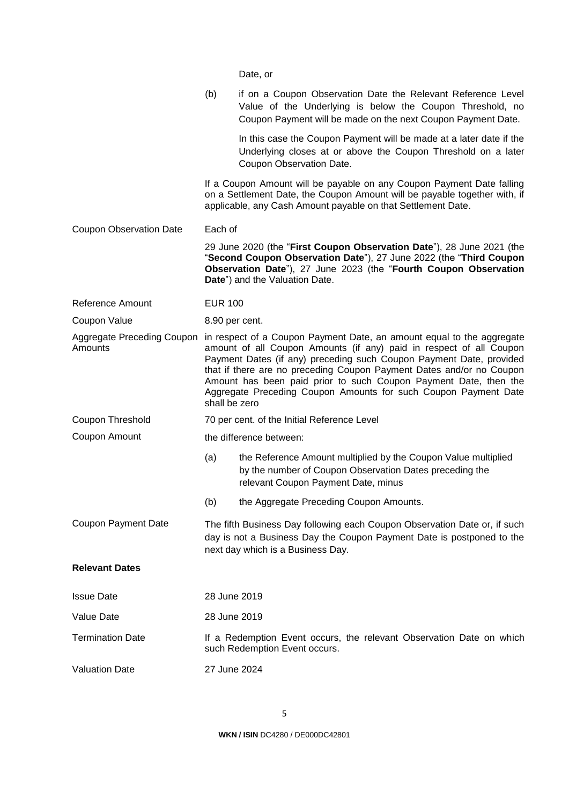|                                              |                | Date, or                                                                                                                                                                                                                                                                                                                                                                                                                           |
|----------------------------------------------|----------------|------------------------------------------------------------------------------------------------------------------------------------------------------------------------------------------------------------------------------------------------------------------------------------------------------------------------------------------------------------------------------------------------------------------------------------|
|                                              | (b)            | if on a Coupon Observation Date the Relevant Reference Level<br>Value of the Underlying is below the Coupon Threshold, no<br>Coupon Payment will be made on the next Coupon Payment Date.                                                                                                                                                                                                                                          |
|                                              |                | In this case the Coupon Payment will be made at a later date if the<br>Underlying closes at or above the Coupon Threshold on a later<br>Coupon Observation Date.                                                                                                                                                                                                                                                                   |
|                                              |                | If a Coupon Amount will be payable on any Coupon Payment Date falling<br>on a Settlement Date, the Coupon Amount will be payable together with, if<br>applicable, any Cash Amount payable on that Settlement Date.                                                                                                                                                                                                                 |
| <b>Coupon Observation Date</b>               | Each of        |                                                                                                                                                                                                                                                                                                                                                                                                                                    |
|                                              |                | 29 June 2020 (the "First Coupon Observation Date"), 28 June 2021 (the<br>"Second Coupon Observation Date"), 27 June 2022 (the "Third Coupon<br>Observation Date"), 27 June 2023 (the "Fourth Coupon Observation<br>Date") and the Valuation Date.                                                                                                                                                                                  |
| Reference Amount                             | <b>EUR 100</b> |                                                                                                                                                                                                                                                                                                                                                                                                                                    |
| Coupon Value                                 | 8.90 per cent. |                                                                                                                                                                                                                                                                                                                                                                                                                                    |
| <b>Aggregate Preceding Coupon</b><br>Amounts | shall be zero  | in respect of a Coupon Payment Date, an amount equal to the aggregate<br>amount of all Coupon Amounts (if any) paid in respect of all Coupon<br>Payment Dates (if any) preceding such Coupon Payment Date, provided<br>that if there are no preceding Coupon Payment Dates and/or no Coupon<br>Amount has been paid prior to such Coupon Payment Date, then the<br>Aggregate Preceding Coupon Amounts for such Coupon Payment Date |
| Coupon Threshold                             |                | 70 per cent. of the Initial Reference Level                                                                                                                                                                                                                                                                                                                                                                                        |
| Coupon Amount                                |                | the difference between:                                                                                                                                                                                                                                                                                                                                                                                                            |
|                                              | (a)            | the Reference Amount multiplied by the Coupon Value multiplied<br>by the number of Coupon Observation Dates preceding the<br>relevant Coupon Payment Date, minus                                                                                                                                                                                                                                                                   |
|                                              | (b)            | the Aggregate Preceding Coupon Amounts.                                                                                                                                                                                                                                                                                                                                                                                            |
| <b>Coupon Payment Date</b>                   |                | The fifth Business Day following each Coupon Observation Date or, if such<br>day is not a Business Day the Coupon Payment Date is postponed to the<br>next day which is a Business Day.                                                                                                                                                                                                                                            |
| <b>Relevant Dates</b>                        |                |                                                                                                                                                                                                                                                                                                                                                                                                                                    |
| <b>Issue Date</b>                            | 28 June 2019   |                                                                                                                                                                                                                                                                                                                                                                                                                                    |
| <b>Value Date</b>                            | 28 June 2019   |                                                                                                                                                                                                                                                                                                                                                                                                                                    |
| <b>Termination Date</b>                      |                | If a Redemption Event occurs, the relevant Observation Date on which<br>such Redemption Event occurs.                                                                                                                                                                                                                                                                                                                              |
| <b>Valuation Date</b>                        | 27 June 2024   |                                                                                                                                                                                                                                                                                                                                                                                                                                    |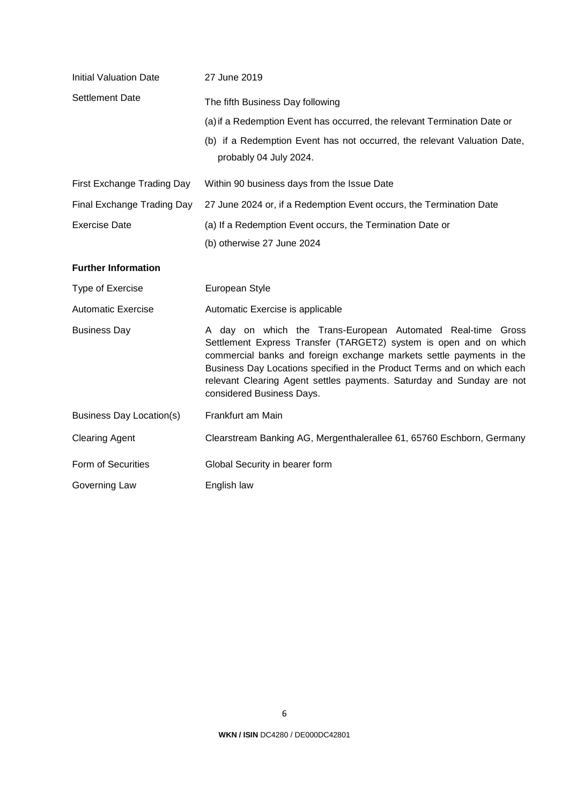| <b>Initial Valuation Date</b>   | 27 June 2019                                                                                                                                                                                                                                                                                                                                                                              |
|---------------------------------|-------------------------------------------------------------------------------------------------------------------------------------------------------------------------------------------------------------------------------------------------------------------------------------------------------------------------------------------------------------------------------------------|
| Settlement Date                 | The fifth Business Day following<br>(a) if a Redemption Event has occurred, the relevant Termination Date or<br>(b) if a Redemption Event has not occurred, the relevant Valuation Date,<br>probably 04 July 2024.                                                                                                                                                                        |
| First Exchange Trading Day      | Within 90 business days from the Issue Date                                                                                                                                                                                                                                                                                                                                               |
| Final Exchange Trading Day      | 27 June 2024 or, if a Redemption Event occurs, the Termination Date                                                                                                                                                                                                                                                                                                                       |
| <b>Exercise Date</b>            | (a) If a Redemption Event occurs, the Termination Date or<br>(b) otherwise 27 June 2024                                                                                                                                                                                                                                                                                                   |
| <b>Further Information</b>      |                                                                                                                                                                                                                                                                                                                                                                                           |
| Type of Exercise                | European Style                                                                                                                                                                                                                                                                                                                                                                            |
| <b>Automatic Exercise</b>       | Automatic Exercise is applicable                                                                                                                                                                                                                                                                                                                                                          |
| <b>Business Day</b>             | A day on which the Trans-European Automated Real-time Gross<br>Settlement Express Transfer (TARGET2) system is open and on which<br>commercial banks and foreign exchange markets settle payments in the<br>Business Day Locations specified in the Product Terms and on which each<br>relevant Clearing Agent settles payments. Saturday and Sunday are not<br>considered Business Days. |
| <b>Business Day Location(s)</b> | Frankfurt am Main                                                                                                                                                                                                                                                                                                                                                                         |
| <b>Clearing Agent</b>           | Clearstream Banking AG, Mergenthalerallee 61, 65760 Eschborn, Germany                                                                                                                                                                                                                                                                                                                     |
| Form of Securities              | Global Security in bearer form                                                                                                                                                                                                                                                                                                                                                            |
| Governing Law                   | English law                                                                                                                                                                                                                                                                                                                                                                               |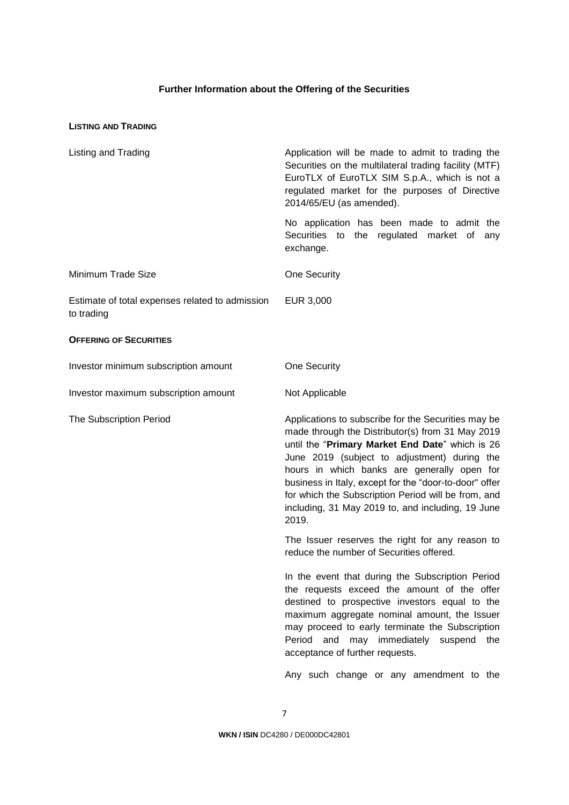# **Further Information about the Offering of the Securities**

# **LISTING AND TRADING**

| Listing and Trading                                           | Application will be made to admit to trading the<br>Securities on the multilateral trading facility (MTF)<br>EuroTLX of EuroTLX SIM S.p.A., which is not a<br>regulated market for the purposes of Directive<br>2014/65/EU (as amended).                                                                                                                                                                                                 |
|---------------------------------------------------------------|------------------------------------------------------------------------------------------------------------------------------------------------------------------------------------------------------------------------------------------------------------------------------------------------------------------------------------------------------------------------------------------------------------------------------------------|
|                                                               | No application has been made to admit the<br>Securities to the regulated market of<br>any<br>exchange.                                                                                                                                                                                                                                                                                                                                   |
| Minimum Trade Size                                            | One Security                                                                                                                                                                                                                                                                                                                                                                                                                             |
| Estimate of total expenses related to admission<br>to trading | EUR 3,000                                                                                                                                                                                                                                                                                                                                                                                                                                |
| <b>OFFERING OF SECURITIES</b>                                 |                                                                                                                                                                                                                                                                                                                                                                                                                                          |
| Investor minimum subscription amount                          | One Security                                                                                                                                                                                                                                                                                                                                                                                                                             |
| Investor maximum subscription amount                          | Not Applicable                                                                                                                                                                                                                                                                                                                                                                                                                           |
| <b>The Subscription Period</b>                                | Applications to subscribe for the Securities may be<br>made through the Distributor(s) from 31 May 2019<br>until the "Primary Market End Date" which is 26<br>June 2019 (subject to adjustment) during the<br>hours in which banks are generally open for<br>business in Italy, except for the "door-to-door" offer<br>for which the Subscription Period will be from, and<br>including, 31 May 2019 to, and including, 19 June<br>2019. |
|                                                               | The Issuer reserves the right for any reason to<br>reduce the number of Securities offered.                                                                                                                                                                                                                                                                                                                                              |
|                                                               | In the event that during the Subscription Period<br>the requests exceed the amount of the offer<br>destined to prospective investors equal to the<br>maximum aggregate nominal amount, the Issuer<br>may proceed to early terminate the Subscription<br>and may immediately suspend<br>Period<br>the<br>acceptance of further requests.                                                                                                  |
|                                                               | Any such change or any amendment to the                                                                                                                                                                                                                                                                                                                                                                                                  |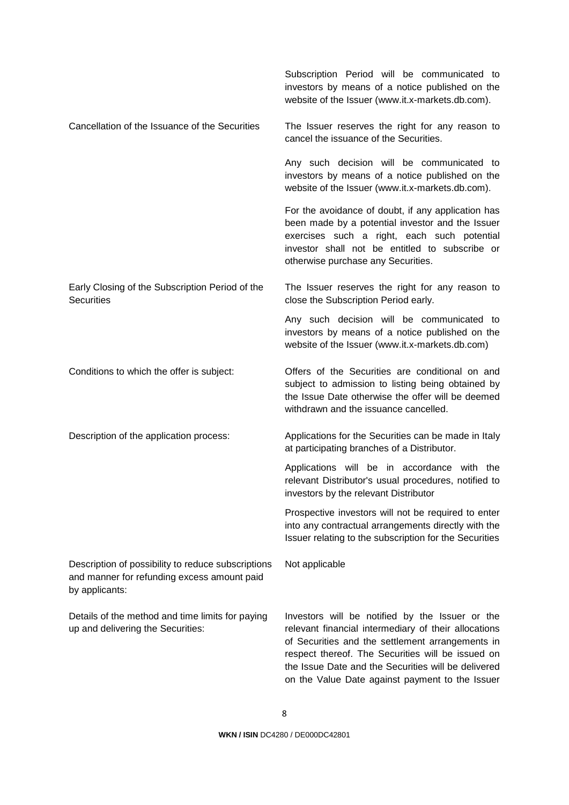|                                                                                                                     | Subscription Period will be communicated to<br>investors by means of a notice published on the<br>website of the Issuer (www.it.x-markets.db.com).                                                                                                                                                                         |
|---------------------------------------------------------------------------------------------------------------------|----------------------------------------------------------------------------------------------------------------------------------------------------------------------------------------------------------------------------------------------------------------------------------------------------------------------------|
| Cancellation of the Issuance of the Securities                                                                      | The Issuer reserves the right for any reason to<br>cancel the issuance of the Securities.                                                                                                                                                                                                                                  |
|                                                                                                                     | Any such decision will be communicated to<br>investors by means of a notice published on the<br>website of the Issuer (www.it.x-markets.db.com).                                                                                                                                                                           |
|                                                                                                                     | For the avoidance of doubt, if any application has<br>been made by a potential investor and the Issuer<br>exercises such a right, each such potential<br>investor shall not be entitled to subscribe or<br>otherwise purchase any Securities.                                                                              |
| Early Closing of the Subscription Period of the<br><b>Securities</b>                                                | The Issuer reserves the right for any reason to<br>close the Subscription Period early.                                                                                                                                                                                                                                    |
|                                                                                                                     | Any such decision will be communicated to<br>investors by means of a notice published on the<br>website of the Issuer (www.it.x-markets.db.com)                                                                                                                                                                            |
| Conditions to which the offer is subject:                                                                           | Offers of the Securities are conditional on and<br>subject to admission to listing being obtained by<br>the Issue Date otherwise the offer will be deemed<br>withdrawn and the issuance cancelled.                                                                                                                         |
| Description of the application process:                                                                             | Applications for the Securities can be made in Italy<br>at participating branches of a Distributor.                                                                                                                                                                                                                        |
|                                                                                                                     | Applications will be in accordance with the<br>relevant Distributor's usual procedures, notified to<br>investors by the relevant Distributor                                                                                                                                                                               |
|                                                                                                                     | Prospective investors will not be required to enter<br>into any contractual arrangements directly with the<br>Issuer relating to the subscription for the Securities                                                                                                                                                       |
| Description of possibility to reduce subscriptions<br>and manner for refunding excess amount paid<br>by applicants: | Not applicable                                                                                                                                                                                                                                                                                                             |
| Details of the method and time limits for paying<br>up and delivering the Securities:                               | Investors will be notified by the Issuer or the<br>relevant financial intermediary of their allocations<br>of Securities and the settlement arrangements in<br>respect thereof. The Securities will be issued on<br>the Issue Date and the Securities will be delivered<br>on the Value Date against payment to the Issuer |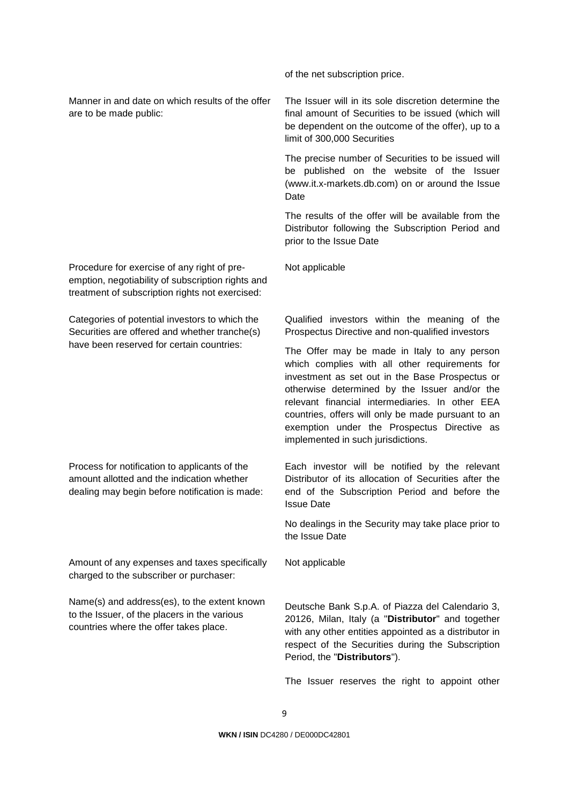Manner in and date on which results of the offer are to be made public:

Procedure for exercise of any right of preemption, negotiability of subscription rights and treatment of subscription rights not exercised:

Categories of potential investors to which the Securities are offered and whether tranche(s) have been reserved for certain countries:

Process for notification to applicants of the amount allotted and the indication whether dealing may begin before notification is made:

Amount of any expenses and taxes specifically charged to the subscriber or purchaser:

Name(s) and address(es), to the extent known to the Issuer, of the placers in the various countries where the offer takes place.

of the net subscription price.

The Issuer will in its sole discretion determine the final amount of Securities to be issued (which will be dependent on the outcome of the offer), up to a limit of 300,000 Securities

The precise number of Securities to be issued will be published on the website of the Issuer (www.it.x-markets.db.com) on or around the Issue Date

The results of the offer will be available from the Distributor following the Subscription Period and prior to the Issue Date

Not applicable

Qualified investors within the meaning of the Prospectus Directive and non-qualified investors

The Offer may be made in Italy to any person which complies with all other requirements for investment as set out in the Base Prospectus or otherwise determined by the Issuer and/or the relevant financial intermediaries. In other EEA countries, offers will only be made pursuant to an exemption under the Prospectus Directive as implemented in such jurisdictions.

Each investor will be notified by the relevant Distributor of its allocation of Securities after the end of the Subscription Period and before the Issue Date

No dealings in the Security may take place prior to the Issue Date

Not applicable

Deutsche Bank S.p.A. of Piazza del Calendario 3, 20126, Milan, Italy (a "**Distributor**" and together with any other entities appointed as a distributor in respect of the Securities during the Subscription Period, the "**Distributors**").

The Issuer reserves the right to appoint other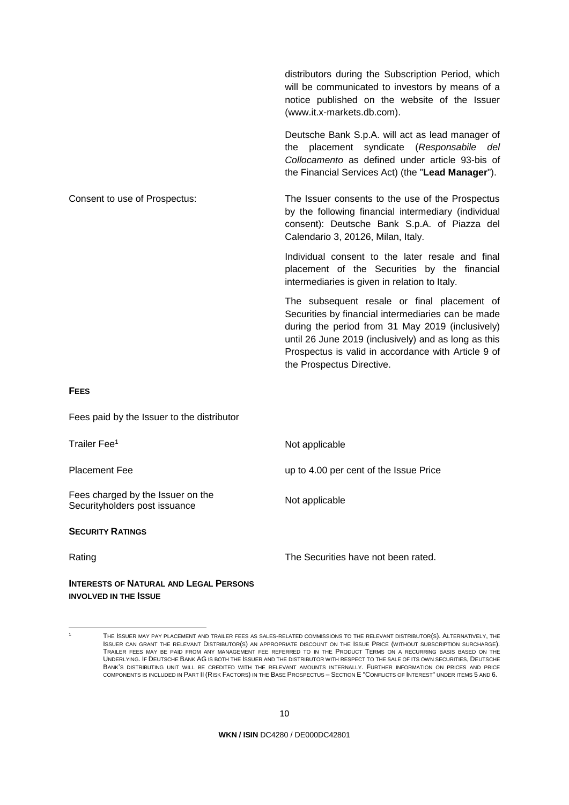|                               | distributors during the Subscription Period, which<br>will be communicated to investors by means of a<br>notice published on the website of the Issuer<br>(www.it.x-markets.db.com).                                                                                                              |
|-------------------------------|---------------------------------------------------------------------------------------------------------------------------------------------------------------------------------------------------------------------------------------------------------------------------------------------------|
|                               | Deutsche Bank S.p.A. will act as lead manager of<br>the placement syndicate (Responsabile del<br>Collocamento as defined under article 93-bis of<br>the Financial Services Act) (the "Lead Manager").                                                                                             |
| Consent to use of Prospectus: | The Issuer consents to the use of the Prospectus<br>by the following financial intermediary (individual<br>consent): Deutsche Bank S.p.A. of Piazza del<br>Calendario 3, 20126, Milan, Italy.                                                                                                     |
|                               | Individual consent to the later resale and final<br>placement of the Securities by the financial<br>intermediaries is given in relation to Italy.                                                                                                                                                 |
|                               | The subsequent resale or final placement of<br>Securities by financial intermediaries can be made<br>during the period from 31 May 2019 (inclusively)<br>until 26 June 2019 (inclusively) and as long as this<br>Prospectus is valid in accordance with Article 9 of<br>the Prospectus Directive. |
|                               |                                                                                                                                                                                                                                                                                                   |

#### **FEES**

Fees paid by the Issuer to the distributor

Trailer Fee<sup>1</sup> Not applicable

Fees charged by the Issuer on the Fees charged by the issuer on the Not applicable<br>Securityholders post issuance

#### **SECURITY RATINGS**

Placement Fee **up to 4.00 per cent of the Issue Price** 

Rating Rating **The Securities have not been rated.** 

**INTERESTS OF NATURAL AND LEGAL PERSONS INVOLVED IN THE ISSUE**

**WKN / ISIN** DC4280 / DE000DC42801

 $\mathbf{1}$ 

THE ISSUER MAY PAY PLACEMENT AND TRAILER FEES AS SALES-RELATED COMMISSIONS TO THE RELEVANT DISTRIBUTOR(S). ALTERNATIVELY, THE ISSUER CAN GRANT THE RELEVANT DISTRIBUTOR(S) AN APPROPRIATE DISCOUNT ON THE ISSUE PRICE (WITHOUT SUBSCRIPTION SURCHARGE). TRAILER FEES MAY BE PAID FROM ANY MANAGEMENT FEE REFERRED TO IN THE PRODUCT TERMS ON A RECURRING BASIS BASED ON THE UNDERLYING. IF DEUTSCHE BANK AG IS BOTH THE ISSUER AND THE DISTRIBUTOR WITH RESPECT TO THE SALE OF ITS OWN SECURITIES, DEUTSCHE BANK'S DISTRIBUTING UNIT WILL BE CREDITED WITH THE RELEVANT AMOUNTS INTERNALLY. FURTHER INFORMATION ON PRICES AND PRICE COMPONENTS IS INCLUDED IN PART II (RISK FACTORS) IN THE BASE PROSPECTUS – SECTION E "CONFLICTS OF INTEREST" UNDER ITEMS 5 AND 6.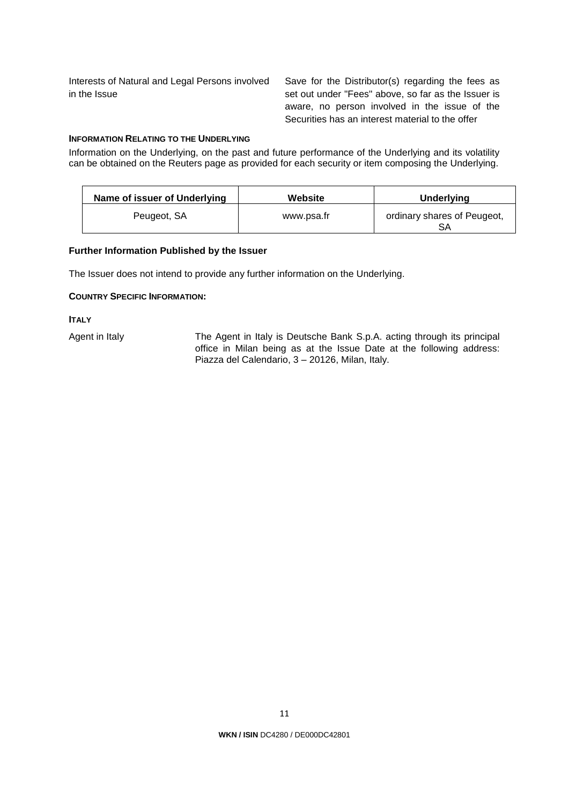Interests of Natural and Legal Persons involved in the Issue

Save for the Distributor(s) regarding the fees as set out under "Fees" above, so far as the Issuer is aware, no person involved in the issue of the Securities has an interest material to the offer

# **INFORMATION RELATING TO THE UNDERLYING**

Information on the Underlying, on the past and future performance of the Underlying and its volatility can be obtained on the Reuters page as provided for each security or item composing the Underlying.

| Name of issuer of Underlying | Website    | Underlying                  |
|------------------------------|------------|-----------------------------|
| Peugeot, SA                  | www.psa.fr | ordinary shares of Peugeot, |

# **Further Information Published by the Issuer**

The Issuer does not intend to provide any further information on the Underlying.

### **COUNTRY SPECIFIC INFORMATION:**

**ITALY** 

Agent in Italy The Agent in Italy is Deutsche Bank S.p.A. acting through its principal office in Milan being as at the Issue Date at the following address: Piazza del Calendario, 3 – 20126, Milan, Italy.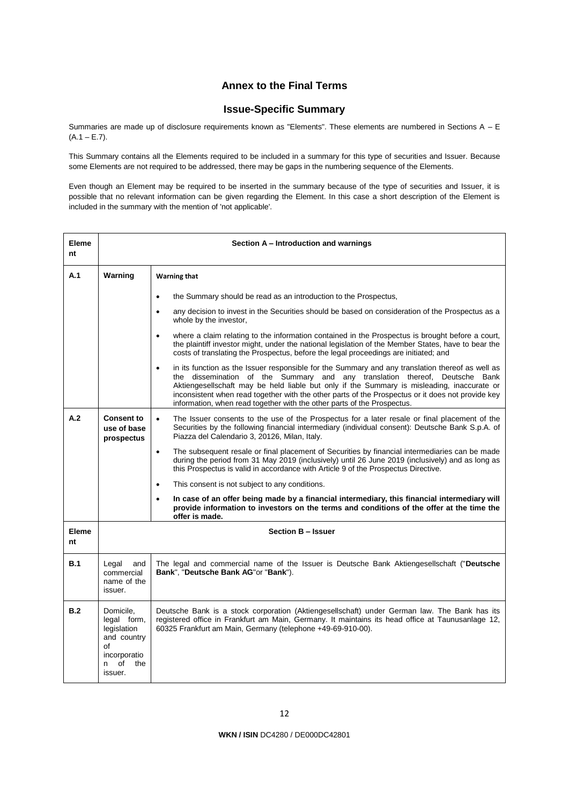# **Annex to the Final Terms**

# **Issue-Specific Summary**

Summaries are made up of disclosure requirements known as "Elements". These elements are numbered in Sections A - E  $(A.1 - E.7)$ .

This Summary contains all the Elements required to be included in a summary for this type of securities and Issuer. Because some Elements are not required to be addressed, there may be gaps in the numbering sequence of the Elements.

Even though an Element may be required to be inserted in the summary because of the type of securities and Issuer, it is possible that no relevant information can be given regarding the Element. In this case a short description of the Element is included in the summary with the mention of 'not applicable'.

| <b>Eleme</b><br>nt |                                                                                                            | Section A – Introduction and warnings                                                                                                                                                                                                                                                                                                                                                                                                                                      |
|--------------------|------------------------------------------------------------------------------------------------------------|----------------------------------------------------------------------------------------------------------------------------------------------------------------------------------------------------------------------------------------------------------------------------------------------------------------------------------------------------------------------------------------------------------------------------------------------------------------------------|
| A.1                | Warning                                                                                                    | <b>Warning that</b>                                                                                                                                                                                                                                                                                                                                                                                                                                                        |
|                    |                                                                                                            | the Summary should be read as an introduction to the Prospectus,<br>$\bullet$                                                                                                                                                                                                                                                                                                                                                                                              |
|                    |                                                                                                            | any decision to invest in the Securities should be based on consideration of the Prospectus as a<br>$\bullet$<br>whole by the investor,                                                                                                                                                                                                                                                                                                                                    |
|                    |                                                                                                            | where a claim relating to the information contained in the Prospectus is brought before a court,<br>the plaintiff investor might, under the national legislation of the Member States, have to bear the<br>costs of translating the Prospectus, before the legal proceedings are initiated; and                                                                                                                                                                            |
|                    |                                                                                                            | in its function as the Issuer responsible for the Summary and any translation thereof as well as<br>$\bullet$<br>the dissemination of the Summary and any translation thereof, Deutsche Bank<br>Aktiengesellschaft may be held liable but only if the Summary is misleading, inaccurate or<br>inconsistent when read together with the other parts of the Prospectus or it does not provide key<br>information, when read together with the other parts of the Prospectus. |
| A.2                | <b>Consent to</b><br>use of base<br>prospectus                                                             | The Issuer consents to the use of the Prospectus for a later resale or final placement of the<br>$\bullet$<br>Securities by the following financial intermediary (individual consent): Deutsche Bank S.p.A. of<br>Piazza del Calendario 3, 20126, Milan, Italy.                                                                                                                                                                                                            |
|                    |                                                                                                            | The subsequent resale or final placement of Securities by financial intermediaries can be made<br>$\bullet$<br>during the period from 31 May 2019 (inclusively) until 26 June 2019 (inclusively) and as long as<br>this Prospectus is valid in accordance with Article 9 of the Prospectus Directive.                                                                                                                                                                      |
|                    |                                                                                                            | This consent is not subject to any conditions.<br>$\bullet$                                                                                                                                                                                                                                                                                                                                                                                                                |
|                    |                                                                                                            | In case of an offer being made by a financial intermediary, this financial intermediary will<br>$\bullet$<br>provide information to investors on the terms and conditions of the offer at the time the<br>offer is made.                                                                                                                                                                                                                                                   |
| Eleme<br>nt        |                                                                                                            | <b>Section B - Issuer</b>                                                                                                                                                                                                                                                                                                                                                                                                                                                  |
| B.1                | Legal<br>and<br>commercial<br>name of the<br>issuer.                                                       | The legal and commercial name of the Issuer is Deutsche Bank Aktiengesellschaft ("Deutsche<br>Bank", "Deutsche Bank AG"or "Bank").                                                                                                                                                                                                                                                                                                                                         |
| B.2                | Domicile.<br>legal form,<br>legislation<br>and country<br>of<br>incorporatio<br>of<br>n.<br>the<br>issuer. | Deutsche Bank is a stock corporation (Aktiengesellschaft) under German law. The Bank has its<br>registered office in Frankfurt am Main, Germany. It maintains its head office at Taunusanlage 12,<br>60325 Frankfurt am Main, Germany (telephone +49-69-910-00).                                                                                                                                                                                                           |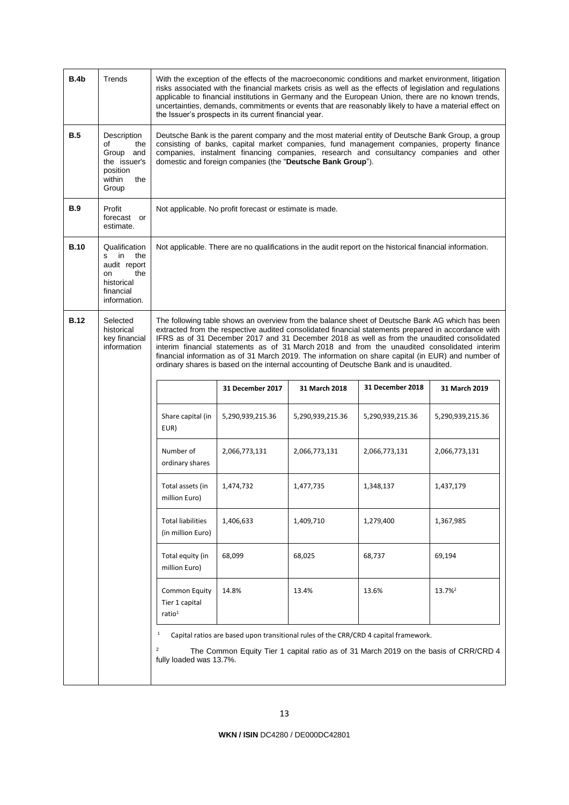| B.4b        | Trends                                                                                                  | With the exception of the effects of the macroeconomic conditions and market environment, litigation<br>risks associated with the financial markets crisis as well as the effects of legislation and regulations<br>applicable to financial institutions in Germany and the European Union, there are no known trends,<br>uncertainties, demands, commitments or events that are reasonably likely to have a material effect on<br>the Issuer's prospects in its current financial year. |                                                         |                  |                                                                                                          |                                                                                                                                                                                                                                                                                                                                                                                                                                                                                                             |
|-------------|---------------------------------------------------------------------------------------------------------|------------------------------------------------------------------------------------------------------------------------------------------------------------------------------------------------------------------------------------------------------------------------------------------------------------------------------------------------------------------------------------------------------------------------------------------------------------------------------------------|---------------------------------------------------------|------------------|----------------------------------------------------------------------------------------------------------|-------------------------------------------------------------------------------------------------------------------------------------------------------------------------------------------------------------------------------------------------------------------------------------------------------------------------------------------------------------------------------------------------------------------------------------------------------------------------------------------------------------|
| B.5         | Description<br>of<br>the<br>Group and<br>the issuer's<br>position<br>within<br>the<br>Group             | Deutsche Bank is the parent company and the most material entity of Deutsche Bank Group, a group<br>consisting of banks, capital market companies, fund management companies, property finance<br>companies, instalment financing companies, research and consultancy companies and other<br>domestic and foreign companies (the "Deutsche Bank Group").                                                                                                                                 |                                                         |                  |                                                                                                          |                                                                                                                                                                                                                                                                                                                                                                                                                                                                                                             |
| <b>B.9</b>  | Profit<br>forecast or<br>estimate.                                                                      |                                                                                                                                                                                                                                                                                                                                                                                                                                                                                          | Not applicable. No profit forecast or estimate is made. |                  |                                                                                                          |                                                                                                                                                                                                                                                                                                                                                                                                                                                                                                             |
| <b>B.10</b> | Qualification<br>in<br>the<br>s<br>audit report<br>the<br>on<br>historical<br>financial<br>information. |                                                                                                                                                                                                                                                                                                                                                                                                                                                                                          |                                                         |                  | Not applicable. There are no qualifications in the audit report on the historical financial information. |                                                                                                                                                                                                                                                                                                                                                                                                                                                                                                             |
| <b>B.12</b> | Selected<br>historical<br>key financial<br>information                                                  |                                                                                                                                                                                                                                                                                                                                                                                                                                                                                          |                                                         |                  | ordinary shares is based on the internal accounting of Deutsche Bank and is unaudited.                   | The following table shows an overview from the balance sheet of Deutsche Bank AG which has been<br>extracted from the respective audited consolidated financial statements prepared in accordance with<br>IFRS as of 31 December 2017 and 31 December 2018 as well as from the unaudited consolidated<br>interim financial statements as of 31 March 2018 and from the unaudited consolidated interim<br>financial information as of 31 March 2019. The information on share capital (in EUR) and number of |
|             |                                                                                                         |                                                                                                                                                                                                                                                                                                                                                                                                                                                                                          | 31 December 2017                                        | 31 March 2018    | 31 December 2018                                                                                         | 31 March 2019                                                                                                                                                                                                                                                                                                                                                                                                                                                                                               |
|             |                                                                                                         | Share capital (in<br>EUR)                                                                                                                                                                                                                                                                                                                                                                                                                                                                | 5,290,939,215.36                                        | 5,290,939,215.36 | 5,290,939,215.36                                                                                         | 5,290,939,215.36                                                                                                                                                                                                                                                                                                                                                                                                                                                                                            |
|             |                                                                                                         | Number of<br>ordinary shares                                                                                                                                                                                                                                                                                                                                                                                                                                                             | 2,066,773,131                                           | 2,066,773,131    | 2,066,773,131                                                                                            | 2,066,773,131                                                                                                                                                                                                                                                                                                                                                                                                                                                                                               |
|             |                                                                                                         | Total assets (in<br>million Euro)                                                                                                                                                                                                                                                                                                                                                                                                                                                        | 1,474,732                                               | 1,477,735        | 1,348,137                                                                                                | 1,437,179                                                                                                                                                                                                                                                                                                                                                                                                                                                                                                   |
|             |                                                                                                         | <b>Total liabilities</b><br>(in million Euro)                                                                                                                                                                                                                                                                                                                                                                                                                                            | 1,406,633                                               | 1,409,710        | 1,279,400                                                                                                | 1,367,985                                                                                                                                                                                                                                                                                                                                                                                                                                                                                                   |
|             |                                                                                                         | Total equity (in<br>million Euro)                                                                                                                                                                                                                                                                                                                                                                                                                                                        | 68,099                                                  | 68,025           | 68,737                                                                                                   | 69,194                                                                                                                                                                                                                                                                                                                                                                                                                                                                                                      |
|             |                                                                                                         | <b>Common Equity</b><br>Tier 1 capital<br>ratio <sup>1</sup>                                                                                                                                                                                                                                                                                                                                                                                                                             | 14.8%                                                   | 13.4%            | 13.6%                                                                                                    | 13.7% <sup>2</sup>                                                                                                                                                                                                                                                                                                                                                                                                                                                                                          |
|             |                                                                                                         | $\mathbf 1$<br>$\overline{\mathbf{c}}$<br>fully loaded was 13.7%.                                                                                                                                                                                                                                                                                                                                                                                                                        |                                                         |                  | Capital ratios are based upon transitional rules of the CRR/CRD 4 capital framework.                     | The Common Equity Tier 1 capital ratio as of 31 March 2019 on the basis of CRR/CRD 4                                                                                                                                                                                                                                                                                                                                                                                                                        |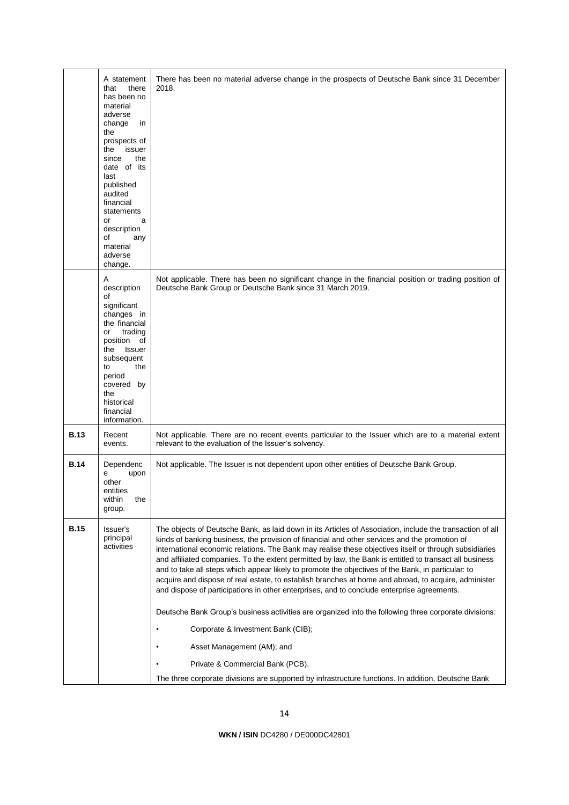|             | A statement<br>that<br>there<br>has been no<br>material<br>adverse<br>change<br>in<br>the<br>prospects of<br>issuer<br>the<br>since<br>the<br>date of its<br>last<br>published<br>audited<br>financial<br>statements<br>a<br>or<br>description<br>οf<br>any<br>material<br>adverse<br>change. | There has been no material adverse change in the prospects of Deutsche Bank since 31 December<br>2018.                                                                                                                                                                                                                                                                                                                                                                                                                                                                                                                                                                                                                                                                                                                                                                                                                                                                                                                                                              |
|-------------|-----------------------------------------------------------------------------------------------------------------------------------------------------------------------------------------------------------------------------------------------------------------------------------------------|---------------------------------------------------------------------------------------------------------------------------------------------------------------------------------------------------------------------------------------------------------------------------------------------------------------------------------------------------------------------------------------------------------------------------------------------------------------------------------------------------------------------------------------------------------------------------------------------------------------------------------------------------------------------------------------------------------------------------------------------------------------------------------------------------------------------------------------------------------------------------------------------------------------------------------------------------------------------------------------------------------------------------------------------------------------------|
|             | A<br>description<br>of<br>significant<br>changes in<br>the financial<br>trading<br>or<br>position of<br>the Issuer<br>subsequent<br>the<br>to<br>period<br>covered by<br>the<br>historical<br>financial<br>information.                                                                       | Not applicable. There has been no significant change in the financial position or trading position of<br>Deutsche Bank Group or Deutsche Bank since 31 March 2019.                                                                                                                                                                                                                                                                                                                                                                                                                                                                                                                                                                                                                                                                                                                                                                                                                                                                                                  |
| <b>B.13</b> | Recent<br>events.                                                                                                                                                                                                                                                                             | Not applicable. There are no recent events particular to the Issuer which are to a material extent<br>relevant to the evaluation of the Issuer's solvency.                                                                                                                                                                                                                                                                                                                                                                                                                                                                                                                                                                                                                                                                                                                                                                                                                                                                                                          |
| <b>B.14</b> | Dependenc<br>е<br>upon<br>other<br>entities<br>within<br>the<br>group.                                                                                                                                                                                                                        | Not applicable. The Issuer is not dependent upon other entities of Deutsche Bank Group.                                                                                                                                                                                                                                                                                                                                                                                                                                                                                                                                                                                                                                                                                                                                                                                                                                                                                                                                                                             |
| <b>B.15</b> | Issuer's<br>principal<br>activities                                                                                                                                                                                                                                                           | The objects of Deutsche Bank, as laid down in its Articles of Association, include the transaction of all<br>kinds of banking business, the provision of financial and other services and the promotion of<br>international economic relations. The Bank may realise these objectives itself or through subsidiaries<br>and affiliated companies. To the extent permitted by law, the Bank is entitled to transact all business<br>and to take all steps which appear likely to promote the objectives of the Bank, in particular: to<br>acquire and dispose of real estate, to establish branches at home and abroad, to acquire, administer<br>and dispose of participations in other enterprises, and to conclude enterprise agreements.<br>Deutsche Bank Group's business activities are organized into the following three corporate divisions:<br>Corporate & Investment Bank (CIB);<br>Asset Management (AM); and<br>Private & Commercial Bank (PCB).<br>The three corporate divisions are supported by infrastructure functions. In addition, Deutsche Bank |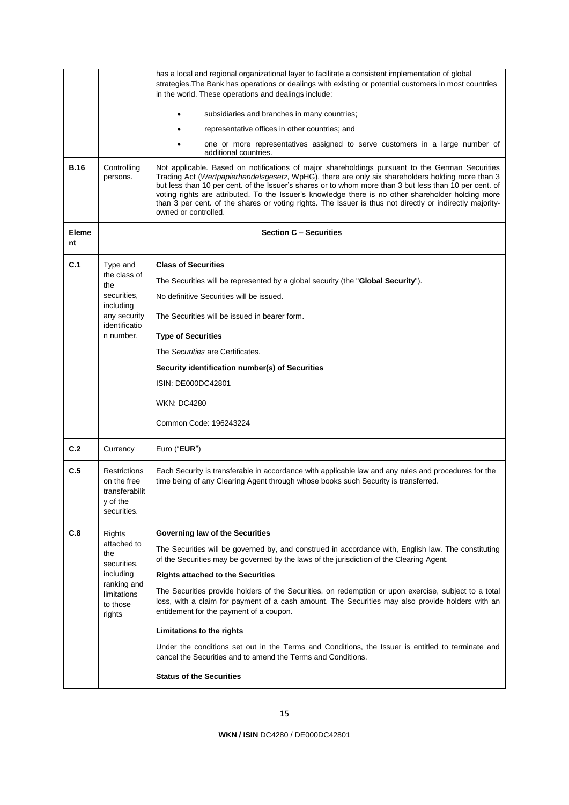|                                                  |                                                                                 | has a local and regional organizational layer to facilitate a consistent implementation of global<br>strategies. The Bank has operations or dealings with existing or potential customers in most countries<br>in the world. These operations and dealings include:                                                                                                                                                                                                                                                                                     |
|--------------------------------------------------|---------------------------------------------------------------------------------|---------------------------------------------------------------------------------------------------------------------------------------------------------------------------------------------------------------------------------------------------------------------------------------------------------------------------------------------------------------------------------------------------------------------------------------------------------------------------------------------------------------------------------------------------------|
|                                                  |                                                                                 | subsidiaries and branches in many countries;                                                                                                                                                                                                                                                                                                                                                                                                                                                                                                            |
|                                                  |                                                                                 | representative offices in other countries; and                                                                                                                                                                                                                                                                                                                                                                                                                                                                                                          |
|                                                  |                                                                                 | one or more representatives assigned to serve customers in a large number of<br>additional countries.                                                                                                                                                                                                                                                                                                                                                                                                                                                   |
| <b>B.16</b>                                      | Controlling<br>persons.                                                         | Not applicable. Based on notifications of major shareholdings pursuant to the German Securities<br>Trading Act (Wertpapierhandelsgesetz, WpHG), there are only six shareholders holding more than 3<br>but less than 10 per cent. of the Issuer's shares or to whom more than 3 but less than 10 per cent. of<br>voting rights are attributed. To the Issuer's knowledge there is no other shareholder holding more<br>than 3 per cent. of the shares or voting rights. The Issuer is thus not directly or indirectly majority-<br>owned or controlled. |
| <b>Eleme</b><br>nt                               |                                                                                 | <b>Section C - Securities</b>                                                                                                                                                                                                                                                                                                                                                                                                                                                                                                                           |
| C.1                                              | Type and                                                                        | <b>Class of Securities</b>                                                                                                                                                                                                                                                                                                                                                                                                                                                                                                                              |
|                                                  | the class of<br>the                                                             | The Securities will be represented by a global security (the "Global Security").                                                                                                                                                                                                                                                                                                                                                                                                                                                                        |
|                                                  | securities,                                                                     | No definitive Securities will be issued.                                                                                                                                                                                                                                                                                                                                                                                                                                                                                                                |
|                                                  | including<br>any security<br>identificatio                                      | The Securities will be issued in bearer form.                                                                                                                                                                                                                                                                                                                                                                                                                                                                                                           |
|                                                  | n number.                                                                       | <b>Type of Securities</b>                                                                                                                                                                                                                                                                                                                                                                                                                                                                                                                               |
|                                                  |                                                                                 | The Securities are Certificates.                                                                                                                                                                                                                                                                                                                                                                                                                                                                                                                        |
|                                                  |                                                                                 | Security identification number(s) of Securities                                                                                                                                                                                                                                                                                                                                                                                                                                                                                                         |
|                                                  |                                                                                 | ISIN: DE000DC42801                                                                                                                                                                                                                                                                                                                                                                                                                                                                                                                                      |
|                                                  |                                                                                 | <b>WKN: DC4280</b>                                                                                                                                                                                                                                                                                                                                                                                                                                                                                                                                      |
|                                                  |                                                                                 | Common Code: 196243224                                                                                                                                                                                                                                                                                                                                                                                                                                                                                                                                  |
| C.2                                              | Currency                                                                        | Euro ("EUR")                                                                                                                                                                                                                                                                                                                                                                                                                                                                                                                                            |
| C.5                                              | <b>Restrictions</b><br>on the free<br>transferabilit<br>y of the<br>securities. | Each Security is transferable in accordance with applicable law and any rules and procedures for the<br>time being of any Clearing Agent through whose books such Security is transferred.                                                                                                                                                                                                                                                                                                                                                              |
| C.8                                              | Rights                                                                          | Governing law of the Securities                                                                                                                                                                                                                                                                                                                                                                                                                                                                                                                         |
|                                                  | attached to<br>the                                                              | The Securities will be governed by, and construed in accordance with, English law. The constituting<br>of the Securities may be governed by the laws of the jurisdiction of the Clearing Agent.                                                                                                                                                                                                                                                                                                                                                         |
|                                                  | securities,<br>including                                                        | <b>Rights attached to the Securities</b>                                                                                                                                                                                                                                                                                                                                                                                                                                                                                                                |
| ranking and<br>limitations<br>to those<br>rights |                                                                                 | The Securities provide holders of the Securities, on redemption or upon exercise, subject to a total<br>loss, with a claim for payment of a cash amount. The Securities may also provide holders with an<br>entitlement for the payment of a coupon.                                                                                                                                                                                                                                                                                                    |
|                                                  |                                                                                 | Limitations to the rights                                                                                                                                                                                                                                                                                                                                                                                                                                                                                                                               |
|                                                  |                                                                                 | Under the conditions set out in the Terms and Conditions, the Issuer is entitled to terminate and<br>cancel the Securities and to amend the Terms and Conditions.                                                                                                                                                                                                                                                                                                                                                                                       |
|                                                  |                                                                                 | <b>Status of the Securities</b>                                                                                                                                                                                                                                                                                                                                                                                                                                                                                                                         |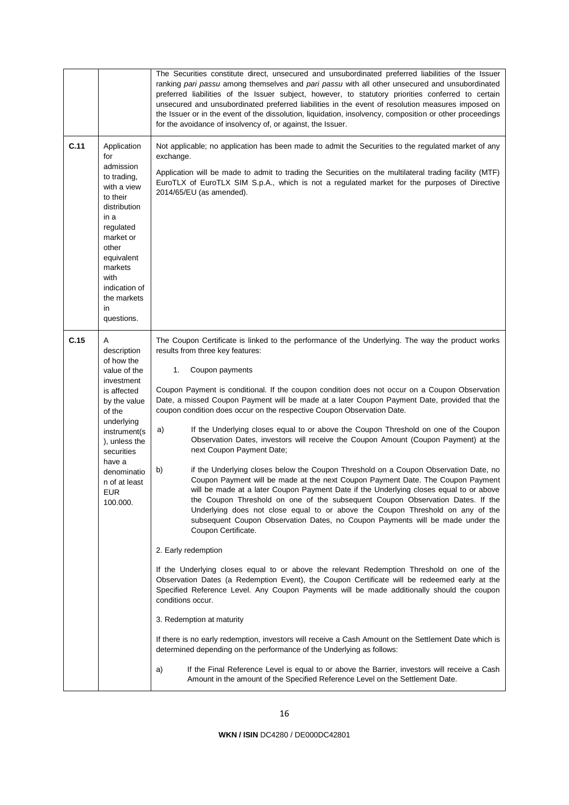|      |                                                                                                                                                                                                                                        | The Securities constitute direct, unsecured and unsubordinated preferred liabilities of the Issuer<br>ranking pari passu among themselves and pari passu with all other unsecured and unsubordinated<br>preferred liabilities of the Issuer subject, however, to statutory priorities conferred to certain<br>unsecured and unsubordinated preferred liabilities in the event of resolution measures imposed on<br>the Issuer or in the event of the dissolution, liquidation, insolvency, composition or other proceedings<br>for the avoidance of insolvency of, or against, the Issuer.                                                                                                                                                                                                                                                                                                                                                                                                                                                                                                                                                                                                                                                                                                                                                                                                                                                                                                                                                                                                                                                                                                                                                                                                                                                                                                                                                                       |
|------|----------------------------------------------------------------------------------------------------------------------------------------------------------------------------------------------------------------------------------------|------------------------------------------------------------------------------------------------------------------------------------------------------------------------------------------------------------------------------------------------------------------------------------------------------------------------------------------------------------------------------------------------------------------------------------------------------------------------------------------------------------------------------------------------------------------------------------------------------------------------------------------------------------------------------------------------------------------------------------------------------------------------------------------------------------------------------------------------------------------------------------------------------------------------------------------------------------------------------------------------------------------------------------------------------------------------------------------------------------------------------------------------------------------------------------------------------------------------------------------------------------------------------------------------------------------------------------------------------------------------------------------------------------------------------------------------------------------------------------------------------------------------------------------------------------------------------------------------------------------------------------------------------------------------------------------------------------------------------------------------------------------------------------------------------------------------------------------------------------------------------------------------------------------------------------------------------------------|
| C.11 | Application<br>for<br>admission<br>to trading,<br>with a view<br>to their<br>distribution<br>in a<br>regulated<br>market or<br>other<br>equivalent<br>markets<br>with<br>indication of<br>the markets<br>in<br>questions.              | Not applicable; no application has been made to admit the Securities to the regulated market of any<br>exchange.<br>Application will be made to admit to trading the Securities on the multilateral trading facility (MTF)<br>EuroTLX of EuroTLX SIM S.p.A., which is not a regulated market for the purposes of Directive<br>2014/65/EU (as amended).                                                                                                                                                                                                                                                                                                                                                                                                                                                                                                                                                                                                                                                                                                                                                                                                                                                                                                                                                                                                                                                                                                                                                                                                                                                                                                                                                                                                                                                                                                                                                                                                           |
| C.15 | A<br>description<br>of how the<br>value of the<br>investment<br>is affected<br>by the value<br>of the<br>underlying<br>instrument(s<br>), unless the<br>securities<br>have a<br>denominatio<br>n of at least<br><b>EUR</b><br>100.000. | The Coupon Certificate is linked to the performance of the Underlying. The way the product works<br>results from three key features:<br>1.<br>Coupon payments<br>Coupon Payment is conditional. If the coupon condition does not occur on a Coupon Observation<br>Date, a missed Coupon Payment will be made at a later Coupon Payment Date, provided that the<br>coupon condition does occur on the respective Coupon Observation Date.<br>If the Underlying closes equal to or above the Coupon Threshold on one of the Coupon<br>a)<br>Observation Dates, investors will receive the Coupon Amount (Coupon Payment) at the<br>next Coupon Payment Date;<br>if the Underlying closes below the Coupon Threshold on a Coupon Observation Date, no<br>b)<br>Coupon Payment will be made at the next Coupon Payment Date. The Coupon Payment<br>will be made at a later Coupon Payment Date if the Underlying closes equal to or above<br>the Coupon Threshold on one of the subsequent Coupon Observation Dates. If the<br>Underlying does not close equal to or above the Coupon Threshold on any of the<br>subsequent Coupon Observation Dates, no Coupon Payments will be made under the<br>Coupon Certificate.<br>2. Early redemption<br>If the Underlying closes equal to or above the relevant Redemption Threshold on one of the<br>Observation Dates (a Redemption Event), the Coupon Certificate will be redeemed early at the<br>Specified Reference Level. Any Coupon Payments will be made additionally should the coupon<br>conditions occur.<br>3. Redemption at maturity<br>If there is no early redemption, investors will receive a Cash Amount on the Settlement Date which is<br>determined depending on the performance of the Underlying as follows:<br>If the Final Reference Level is equal to or above the Barrier, investors will receive a Cash<br>a)<br>Amount in the amount of the Specified Reference Level on the Settlement Date. |
|      |                                                                                                                                                                                                                                        |                                                                                                                                                                                                                                                                                                                                                                                                                                                                                                                                                                                                                                                                                                                                                                                                                                                                                                                                                                                                                                                                                                                                                                                                                                                                                                                                                                                                                                                                                                                                                                                                                                                                                                                                                                                                                                                                                                                                                                  |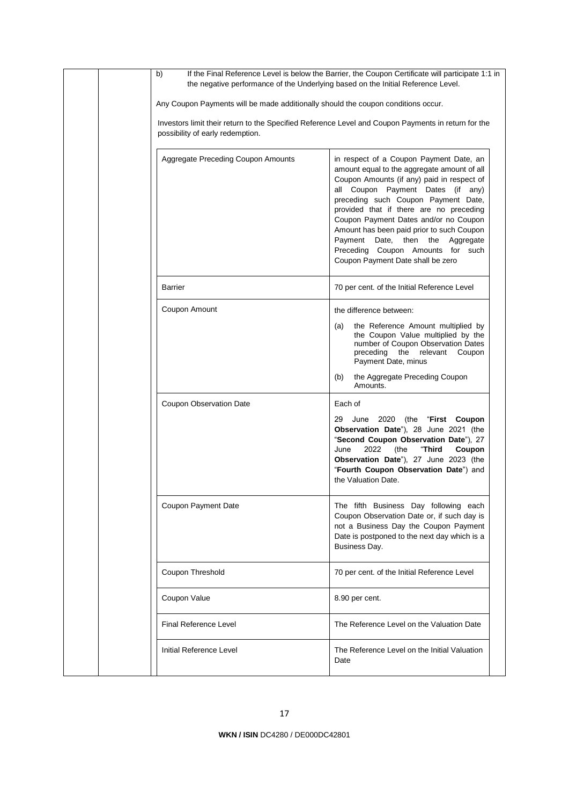|  | b)<br>the negative performance of the Underlying based on the Initial Reference Level.              | If the Final Reference Level is below the Barrier, the Coupon Certificate will participate 1:1 in                                                                                                                                                                                                                                                                                                                                                               |
|--|-----------------------------------------------------------------------------------------------------|-----------------------------------------------------------------------------------------------------------------------------------------------------------------------------------------------------------------------------------------------------------------------------------------------------------------------------------------------------------------------------------------------------------------------------------------------------------------|
|  | Any Coupon Payments will be made additionally should the coupon conditions occur.                   |                                                                                                                                                                                                                                                                                                                                                                                                                                                                 |
|  | Investors limit their return to the Specified Reference Level and Coupon Payments in return for the |                                                                                                                                                                                                                                                                                                                                                                                                                                                                 |
|  | <b>Aggregate Preceding Coupon Amounts</b>                                                           | in respect of a Coupon Payment Date, an<br>amount equal to the aggregate amount of all<br>Coupon Amounts (if any) paid in respect of<br>all Coupon Payment Dates (if any)<br>preceding such Coupon Payment Date,<br>provided that if there are no preceding<br>Coupon Payment Dates and/or no Coupon<br>Amount has been paid prior to such Coupon<br>Payment Date, then the Aggregate<br>Preceding Coupon Amounts for such<br>Coupon Payment Date shall be zero |
|  | Barrier                                                                                             | 70 per cent. of the Initial Reference Level                                                                                                                                                                                                                                                                                                                                                                                                                     |
|  | Coupon Amount                                                                                       | the difference between:<br>the Reference Amount multiplied by<br>(a)<br>the Coupon Value multiplied by the<br>number of Coupon Observation Dates<br>preceding the relevant Coupon<br>Payment Date, minus<br>the Aggregate Preceding Coupon<br>(b)<br>Amounts.                                                                                                                                                                                                   |
|  | <b>Coupon Observation Date</b>                                                                      | Each of<br>29<br>June 2020 (the "First Coupon"<br>Observation Date"), 28 June 2021 (the<br>"Second Coupon Observation Date"), 27<br>June<br>2022<br>(the<br>"Third<br>Coupon<br>Observation Date"), 27 June 2023 (the<br>"Fourth Coupon Observation Date") and<br>the Valuation Date.                                                                                                                                                                           |
|  | Coupon Payment Date                                                                                 | The fifth Business Day following each<br>Coupon Observation Date or, if such day is<br>not a Business Day the Coupon Payment<br>Date is postponed to the next day which is a<br>Business Day.                                                                                                                                                                                                                                                                   |
|  | Coupon Threshold                                                                                    | 70 per cent. of the Initial Reference Level                                                                                                                                                                                                                                                                                                                                                                                                                     |
|  | Coupon Value                                                                                        | 8.90 per cent.                                                                                                                                                                                                                                                                                                                                                                                                                                                  |
|  | <b>Final Reference Level</b>                                                                        | The Reference Level on the Valuation Date                                                                                                                                                                                                                                                                                                                                                                                                                       |
|  | Initial Reference Level                                                                             | The Reference Level on the Initial Valuation<br>Date                                                                                                                                                                                                                                                                                                                                                                                                            |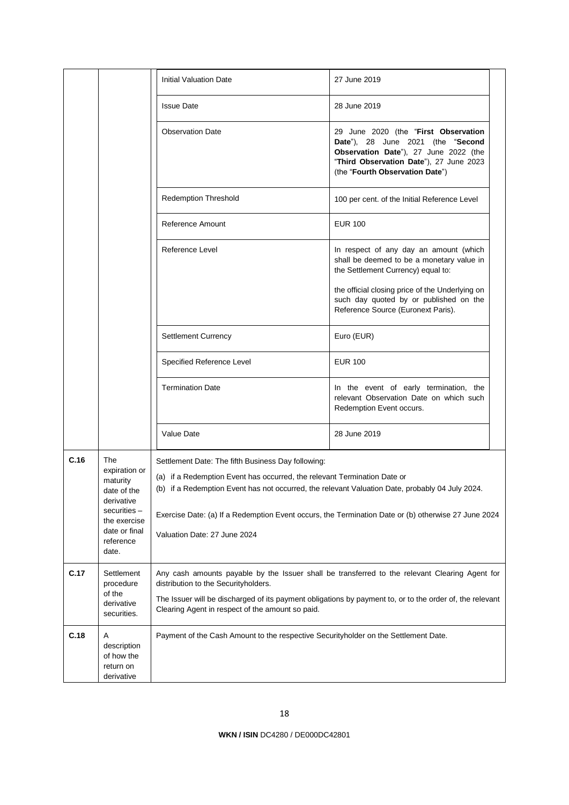|      |                                                                                                                                      | <b>Initial Valuation Date</b>                                                                                                                                                                                                                                                                                                                                            | 27 June 2019                                                                                                                                                                                     |  |
|------|--------------------------------------------------------------------------------------------------------------------------------------|--------------------------------------------------------------------------------------------------------------------------------------------------------------------------------------------------------------------------------------------------------------------------------------------------------------------------------------------------------------------------|--------------------------------------------------------------------------------------------------------------------------------------------------------------------------------------------------|--|
|      |                                                                                                                                      | <b>Issue Date</b>                                                                                                                                                                                                                                                                                                                                                        | 28 June 2019                                                                                                                                                                                     |  |
|      |                                                                                                                                      | <b>Observation Date</b>                                                                                                                                                                                                                                                                                                                                                  | 29 June 2020 (the "First Observation<br>Date"), 28 June 2021 (the "Second<br>Observation Date"), 27 June 2022 (the<br>"Third Observation Date"), 27 June 2023<br>(the "Fourth Observation Date") |  |
|      |                                                                                                                                      | <b>Redemption Threshold</b>                                                                                                                                                                                                                                                                                                                                              | 100 per cent. of the Initial Reference Level                                                                                                                                                     |  |
|      |                                                                                                                                      | Reference Amount                                                                                                                                                                                                                                                                                                                                                         | <b>EUR 100</b>                                                                                                                                                                                   |  |
|      |                                                                                                                                      | Reference Level                                                                                                                                                                                                                                                                                                                                                          | In respect of any day an amount (which<br>shall be deemed to be a monetary value in<br>the Settlement Currency) equal to:                                                                        |  |
|      |                                                                                                                                      |                                                                                                                                                                                                                                                                                                                                                                          | the official closing price of the Underlying on<br>such day quoted by or published on the<br>Reference Source (Euronext Paris).                                                                  |  |
|      |                                                                                                                                      | <b>Settlement Currency</b>                                                                                                                                                                                                                                                                                                                                               | Euro (EUR)                                                                                                                                                                                       |  |
|      |                                                                                                                                      | Specified Reference Level                                                                                                                                                                                                                                                                                                                                                | <b>EUR 100</b>                                                                                                                                                                                   |  |
|      |                                                                                                                                      | <b>Termination Date</b>                                                                                                                                                                                                                                                                                                                                                  | In the event of early termination, the<br>relevant Observation Date on which such<br>Redemption Event occurs.                                                                                    |  |
|      |                                                                                                                                      | Value Date                                                                                                                                                                                                                                                                                                                                                               | 28 June 2019                                                                                                                                                                                     |  |
| C.16 | The<br>expiration or<br>maturity<br>date of the<br>derivative<br>securities -<br>the exercise<br>date or final<br>reference<br>date. | Settlement Date: The fifth Business Day following:<br>(a) if a Redemption Event has occurred, the relevant Termination Date or<br>(b) if a Redemption Event has not occurred, the relevant Valuation Date, probably 04 July 2024.<br>Exercise Date: (a) If a Redemption Event occurs, the Termination Date or (b) otherwise 27 June 2024<br>Valuation Date: 27 June 2024 |                                                                                                                                                                                                  |  |
| C.17 | Settlement<br>procedure<br>of the<br>derivative<br>securities.                                                                       | Any cash amounts payable by the Issuer shall be transferred to the relevant Clearing Agent for<br>distribution to the Securityholders.<br>The Issuer will be discharged of its payment obligations by payment to, or to the order of, the relevant<br>Clearing Agent in respect of the amount so paid.                                                                   |                                                                                                                                                                                                  |  |
| C.18 | Α<br>description<br>of how the<br>return on<br>derivative                                                                            | Payment of the Cash Amount to the respective Securityholder on the Settlement Date.                                                                                                                                                                                                                                                                                      |                                                                                                                                                                                                  |  |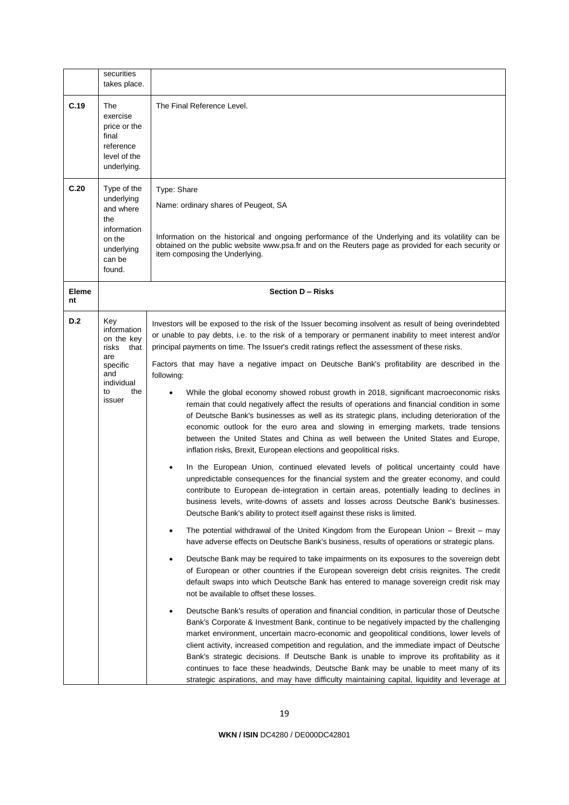|                    | securities<br>takes place.                                                                                       |                                                                                                                                                                                                                                                                                                                                                                                                                                                                                                                                                                                                                                                                                                                                                                                                                                                                                                                                                                                                                                                                                                                                                                                                                                                                                                                                                                                                                                                                                                                                                                                                                                                                                                                                                                                                                                                                                                                                                                                                                                                                                                                                                                                                                                                                                                                                                                                                                                                                                                                                          |
|--------------------|------------------------------------------------------------------------------------------------------------------|------------------------------------------------------------------------------------------------------------------------------------------------------------------------------------------------------------------------------------------------------------------------------------------------------------------------------------------------------------------------------------------------------------------------------------------------------------------------------------------------------------------------------------------------------------------------------------------------------------------------------------------------------------------------------------------------------------------------------------------------------------------------------------------------------------------------------------------------------------------------------------------------------------------------------------------------------------------------------------------------------------------------------------------------------------------------------------------------------------------------------------------------------------------------------------------------------------------------------------------------------------------------------------------------------------------------------------------------------------------------------------------------------------------------------------------------------------------------------------------------------------------------------------------------------------------------------------------------------------------------------------------------------------------------------------------------------------------------------------------------------------------------------------------------------------------------------------------------------------------------------------------------------------------------------------------------------------------------------------------------------------------------------------------------------------------------------------------------------------------------------------------------------------------------------------------------------------------------------------------------------------------------------------------------------------------------------------------------------------------------------------------------------------------------------------------------------------------------------------------------------------------------------------------|
| C.19               | The<br>exercise<br>price or the<br>final<br>reference<br>level of the<br>underlying.                             | The Final Reference Level.                                                                                                                                                                                                                                                                                                                                                                                                                                                                                                                                                                                                                                                                                                                                                                                                                                                                                                                                                                                                                                                                                                                                                                                                                                                                                                                                                                                                                                                                                                                                                                                                                                                                                                                                                                                                                                                                                                                                                                                                                                                                                                                                                                                                                                                                                                                                                                                                                                                                                                               |
| C.20               | Type of the<br>underlying<br>and where<br>the<br>information<br>on the<br>underlying<br>can be<br>found.         | Type: Share<br>Name: ordinary shares of Peugeot, SA<br>Information on the historical and ongoing performance of the Underlying and its volatility can be<br>obtained on the public website www.psa.fr and on the Reuters page as provided for each security or<br>item composing the Underlying.                                                                                                                                                                                                                                                                                                                                                                                                                                                                                                                                                                                                                                                                                                                                                                                                                                                                                                                                                                                                                                                                                                                                                                                                                                                                                                                                                                                                                                                                                                                                                                                                                                                                                                                                                                                                                                                                                                                                                                                                                                                                                                                                                                                                                                         |
| <b>Eleme</b><br>nt | Section D - Risks                                                                                                |                                                                                                                                                                                                                                                                                                                                                                                                                                                                                                                                                                                                                                                                                                                                                                                                                                                                                                                                                                                                                                                                                                                                                                                                                                                                                                                                                                                                                                                                                                                                                                                                                                                                                                                                                                                                                                                                                                                                                                                                                                                                                                                                                                                                                                                                                                                                                                                                                                                                                                                                          |
| <b>D.2</b>         | Key<br>information<br>on the key<br>risks<br>that<br>are<br>specific<br>and<br>individual<br>the<br>to<br>issuer | Investors will be exposed to the risk of the Issuer becoming insolvent as result of being overindebted<br>or unable to pay debts, i.e. to the risk of a temporary or permanent inability to meet interest and/or<br>principal payments on time. The Issuer's credit ratings reflect the assessment of these risks.<br>Factors that may have a negative impact on Deutsche Bank's profitability are described in the<br>following:<br>While the global economy showed robust growth in 2018, significant macroeconomic risks<br>remain that could negatively affect the results of operations and financial condition in some<br>of Deutsche Bank's businesses as well as its strategic plans, including deterioration of the<br>economic outlook for the euro area and slowing in emerging markets, trade tensions<br>between the United States and China as well between the United States and Europe,<br>inflation risks, Brexit, European elections and geopolitical risks.<br>In the European Union, continued elevated levels of political uncertainty could have<br>unpredictable consequences for the financial system and the greater economy, and could<br>contribute to European de-integration in certain areas, potentially leading to declines in<br>business levels, write-downs of assets and losses across Deutsche Bank's businesses.<br>Deutsche Bank's ability to protect itself against these risks is limited.<br>The potential withdrawal of the United Kingdom from the European Union – Brexit – may<br>have adverse effects on Deutsche Bank's business, results of operations or strategic plans.<br>Deutsche Bank may be required to take impairments on its exposures to the sovereign debt<br>of European or other countries if the European sovereign debt crisis reignites. The credit<br>default swaps into which Deutsche Bank has entered to manage sovereign credit risk may<br>not be available to offset these losses.<br>Deutsche Bank's results of operation and financial condition, in particular those of Deutsche<br>Bank's Corporate & Investment Bank, continue to be negatively impacted by the challenging<br>market environment, uncertain macro-economic and geopolitical conditions, lower levels of<br>client activity, increased competition and regulation, and the immediate impact of Deutsche<br>Bank's strategic decisions. If Deutsche Bank is unable to improve its profitability as it<br>continues to face these headwinds, Deutsche Bank may be unable to meet many of its |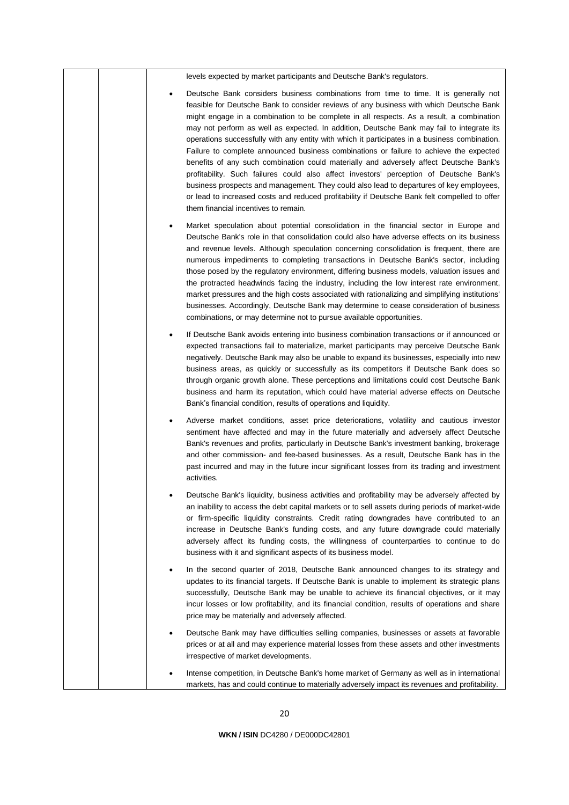| levels expected by market participants and Deutsche Bank's regulators.                                                                                                                                                                                                                                                                                                                                                                                                                                                                                                                                                                                                                                                                                                                                                                                                                                                                                                                       |
|----------------------------------------------------------------------------------------------------------------------------------------------------------------------------------------------------------------------------------------------------------------------------------------------------------------------------------------------------------------------------------------------------------------------------------------------------------------------------------------------------------------------------------------------------------------------------------------------------------------------------------------------------------------------------------------------------------------------------------------------------------------------------------------------------------------------------------------------------------------------------------------------------------------------------------------------------------------------------------------------|
| Deutsche Bank considers business combinations from time to time. It is generally not<br>feasible for Deutsche Bank to consider reviews of any business with which Deutsche Bank<br>might engage in a combination to be complete in all respects. As a result, a combination<br>may not perform as well as expected. In addition, Deutsche Bank may fail to integrate its<br>operations successfully with any entity with which it participates in a business combination.<br>Failure to complete announced business combinations or failure to achieve the expected<br>benefits of any such combination could materially and adversely affect Deutsche Bank's<br>profitability. Such failures could also affect investors' perception of Deutsche Bank's<br>business prospects and management. They could also lead to departures of key employees,<br>or lead to increased costs and reduced profitability if Deutsche Bank felt compelled to offer<br>them financial incentives to remain. |
| Market speculation about potential consolidation in the financial sector in Europe and<br>Deutsche Bank's role in that consolidation could also have adverse effects on its business<br>and revenue levels. Although speculation concerning consolidation is frequent, there are<br>numerous impediments to completing transactions in Deutsche Bank's sector, including<br>those posed by the regulatory environment, differing business models, valuation issues and<br>the protracted headwinds facing the industry, including the low interest rate environment,<br>market pressures and the high costs associated with rationalizing and simplifying institutions'<br>businesses. Accordingly, Deutsche Bank may determine to cease consideration of business<br>combinations, or may determine not to pursue available opportunities.                                                                                                                                                  |
| If Deutsche Bank avoids entering into business combination transactions or if announced or<br>expected transactions fail to materialize, market participants may perceive Deutsche Bank<br>negatively. Deutsche Bank may also be unable to expand its businesses, especially into new<br>business areas, as quickly or successfully as its competitors if Deutsche Bank does so<br>through organic growth alone. These perceptions and limitations could cost Deutsche Bank<br>business and harm its reputation, which could have material adverse effects on Deutsche<br>Bank's financial condition, results of operations and liquidity.                                                                                                                                                                                                                                                                                                                                                   |
| Adverse market conditions, asset price deteriorations, volatility and cautious investor<br>sentiment have affected and may in the future materially and adversely affect Deutsche<br>Bank's revenues and profits, particularly in Deutsche Bank's investment banking, brokerage<br>and other commission- and fee-based businesses. As a result, Deutsche Bank has in the<br>past incurred and may in the future incur significant losses from its trading and investment<br>activities.                                                                                                                                                                                                                                                                                                                                                                                                                                                                                                      |
| Deutsche Bank's liquidity, business activities and profitability may be adversely affected by<br>an inability to access the debt capital markets or to sell assets during periods of market-wide<br>or firm-specific liquidity constraints. Credit rating downgrades have contributed to an<br>increase in Deutsche Bank's funding costs, and any future downgrade could materially<br>adversely affect its funding costs, the willingness of counterparties to continue to do<br>business with it and significant aspects of its business model.                                                                                                                                                                                                                                                                                                                                                                                                                                            |
| In the second quarter of 2018, Deutsche Bank announced changes to its strategy and<br>updates to its financial targets. If Deutsche Bank is unable to implement its strategic plans<br>successfully, Deutsche Bank may be unable to achieve its financial objectives, or it may<br>incur losses or low profitability, and its financial condition, results of operations and share<br>price may be materially and adversely affected.                                                                                                                                                                                                                                                                                                                                                                                                                                                                                                                                                        |
| Deutsche Bank may have difficulties selling companies, businesses or assets at favorable<br>prices or at all and may experience material losses from these assets and other investments<br>irrespective of market developments.                                                                                                                                                                                                                                                                                                                                                                                                                                                                                                                                                                                                                                                                                                                                                              |
| Intense competition, in Deutsche Bank's home market of Germany as well as in international<br>markets, has and could continue to materially adversely impact its revenues and profitability.                                                                                                                                                                                                                                                                                                                                                                                                                                                                                                                                                                                                                                                                                                                                                                                                 |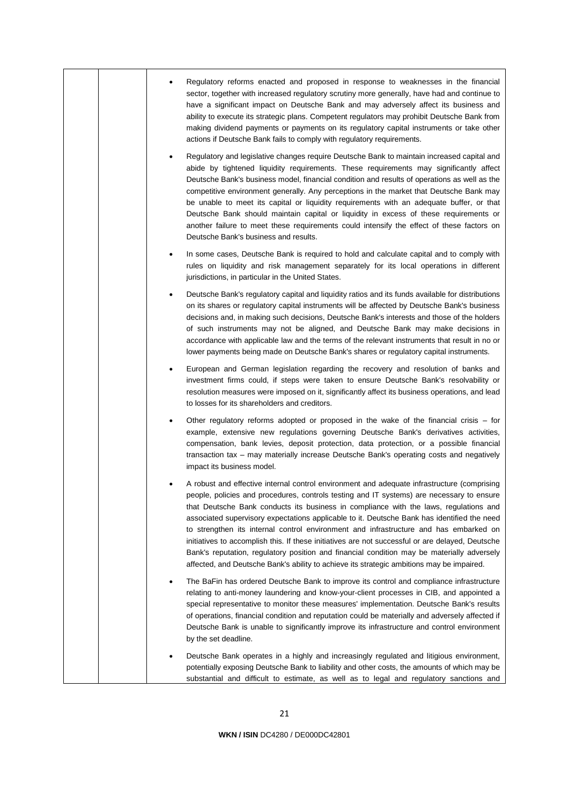|  | Regulatory reforms enacted and proposed in response to weaknesses in the financial<br>sector, together with increased regulatory scrutiny more generally, have had and continue to<br>have a significant impact on Deutsche Bank and may adversely affect its business and<br>ability to execute its strategic plans. Competent regulators may prohibit Deutsche Bank from<br>making dividend payments or payments on its regulatory capital instruments or take other<br>actions if Deutsche Bank fails to comply with regulatory requirements.                                                                                                                                                                                                                         |
|--|--------------------------------------------------------------------------------------------------------------------------------------------------------------------------------------------------------------------------------------------------------------------------------------------------------------------------------------------------------------------------------------------------------------------------------------------------------------------------------------------------------------------------------------------------------------------------------------------------------------------------------------------------------------------------------------------------------------------------------------------------------------------------|
|  | Regulatory and legislative changes require Deutsche Bank to maintain increased capital and<br>abide by tightened liquidity requirements. These requirements may significantly affect<br>Deutsche Bank's business model, financial condition and results of operations as well as the<br>competitive environment generally. Any perceptions in the market that Deutsche Bank may<br>be unable to meet its capital or liquidity requirements with an adequate buffer, or that<br>Deutsche Bank should maintain capital or liquidity in excess of these requirements or<br>another failure to meet these requirements could intensify the effect of these factors on<br>Deutsche Bank's business and results.                                                               |
|  | In some cases, Deutsche Bank is required to hold and calculate capital and to comply with<br>rules on liquidity and risk management separately for its local operations in different<br>jurisdictions, in particular in the United States.                                                                                                                                                                                                                                                                                                                                                                                                                                                                                                                               |
|  | Deutsche Bank's regulatory capital and liquidity ratios and its funds available for distributions<br>on its shares or regulatory capital instruments will be affected by Deutsche Bank's business<br>decisions and, in making such decisions, Deutsche Bank's interests and those of the holders<br>of such instruments may not be aligned, and Deutsche Bank may make decisions in<br>accordance with applicable law and the terms of the relevant instruments that result in no or<br>lower payments being made on Deutsche Bank's shares or regulatory capital instruments.                                                                                                                                                                                           |
|  | European and German legislation regarding the recovery and resolution of banks and<br>investment firms could, if steps were taken to ensure Deutsche Bank's resolvability or<br>resolution measures were imposed on it, significantly affect its business operations, and lead<br>to losses for its shareholders and creditors.                                                                                                                                                                                                                                                                                                                                                                                                                                          |
|  | Other regulatory reforms adopted or proposed in the wake of the financial crisis - for<br>example, extensive new regulations governing Deutsche Bank's derivatives activities,<br>compensation, bank levies, deposit protection, data protection, or a possible financial<br>transaction tax - may materially increase Deutsche Bank's operating costs and negatively<br>impact its business model.                                                                                                                                                                                                                                                                                                                                                                      |
|  | A robust and effective internal control environment and adequate infrastructure (comprising<br>people, policies and procedures, controls testing and IT systems) are necessary to ensure<br>that Deutsche Bank conducts its business in compliance with the laws, regulations and<br>associated supervisory expectations applicable to it. Deutsche Bank has identified the need<br>to strengthen its internal control environment and infrastructure and has embarked on<br>initiatives to accomplish this. If these initiatives are not successful or are delayed, Deutsche<br>Bank's reputation, regulatory position and financial condition may be materially adversely<br>affected, and Deutsche Bank's ability to achieve its strategic ambitions may be impaired. |
|  | The BaFin has ordered Deutsche Bank to improve its control and compliance infrastructure<br>relating to anti-money laundering and know-your-client processes in CIB, and appointed a<br>special representative to monitor these measures' implementation. Deutsche Bank's results<br>of operations, financial condition and reputation could be materially and adversely affected if<br>Deutsche Bank is unable to significantly improve its infrastructure and control environment<br>by the set deadline.                                                                                                                                                                                                                                                              |
|  | Deutsche Bank operates in a highly and increasingly regulated and litigious environment,<br>potentially exposing Deutsche Bank to liability and other costs, the amounts of which may be<br>substantial and difficult to estimate, as well as to legal and regulatory sanctions and                                                                                                                                                                                                                                                                                                                                                                                                                                                                                      |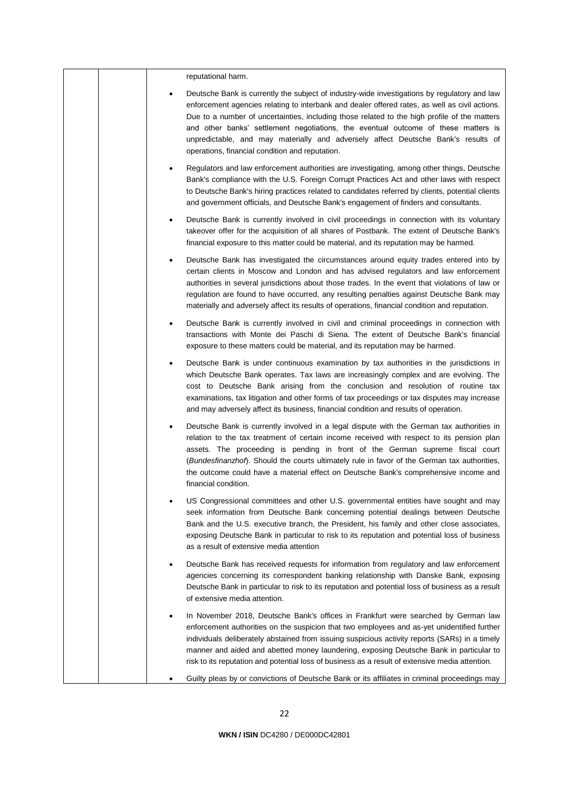|  | reputational harm.                                                                                                                                                                                                                                                                                                                                                                                                                                                                                                           |
|--|------------------------------------------------------------------------------------------------------------------------------------------------------------------------------------------------------------------------------------------------------------------------------------------------------------------------------------------------------------------------------------------------------------------------------------------------------------------------------------------------------------------------------|
|  | Deutsche Bank is currently the subject of industry-wide investigations by regulatory and law<br>enforcement agencies relating to interbank and dealer offered rates, as well as civil actions.<br>Due to a number of uncertainties, including those related to the high profile of the matters<br>and other banks' settlement negotiations, the eventual outcome of these matters is<br>unpredictable, and may materially and adversely affect Deutsche Bank's results of<br>operations, financial condition and reputation. |
|  | Regulators and law enforcement authorities are investigating, among other things, Deutsche<br>Bank's compliance with the U.S. Foreign Corrupt Practices Act and other laws with respect<br>to Deutsche Bank's hiring practices related to candidates referred by clients, potential clients<br>and government officials, and Deutsche Bank's engagement of finders and consultants.                                                                                                                                          |
|  | Deutsche Bank is currently involved in civil proceedings in connection with its voluntary<br>takeover offer for the acquisition of all shares of Postbank. The extent of Deutsche Bank's<br>financial exposure to this matter could be material, and its reputation may be harmed.                                                                                                                                                                                                                                           |
|  | Deutsche Bank has investigated the circumstances around equity trades entered into by<br>certain clients in Moscow and London and has advised regulators and law enforcement<br>authorities in several jurisdictions about those trades. In the event that violations of law or<br>regulation are found to have occurred, any resulting penalties against Deutsche Bank may<br>materially and adversely affect its results of operations, financial condition and reputation.                                                |
|  | Deutsche Bank is currently involved in civil and criminal proceedings in connection with<br>transactions with Monte dei Paschi di Siena. The extent of Deutsche Bank's financial<br>exposure to these matters could be material, and its reputation may be harmed.                                                                                                                                                                                                                                                           |
|  | Deutsche Bank is under continuous examination by tax authorities in the jurisdictions in<br>which Deutsche Bank operates. Tax laws are increasingly complex and are evolving. The<br>cost to Deutsche Bank arising from the conclusion and resolution of routine tax<br>examinations, tax litigation and other forms of tax proceedings or tax disputes may increase<br>and may adversely affect its business, financial condition and results of operation.                                                                 |
|  | Deutsche Bank is currently involved in a legal dispute with the German tax authorities in<br>relation to the tax treatment of certain income received with respect to its pension plan<br>assets. The proceeding is pending in front of the German supreme fiscal court<br>(Bundesfinanzhof). Should the courts ultimately rule in favor of the German tax authorities,<br>the outcome could have a material effect on Deutsche Bank's comprehensive income and<br>financial condition.                                      |
|  | US Congressional committees and other U.S. governmental entities have sought and may<br>seek information from Deutsche Bank concerning potential dealings between Deutsche<br>Bank and the U.S. executive branch, the President, his family and other close associates,<br>exposing Deutsche Bank in particular to risk to its reputation and potential loss of business<br>as a result of extensive media attention                                                                                                         |
|  | Deutsche Bank has received requests for information from regulatory and law enforcement<br>agencies concerning its correspondent banking relationship with Danske Bank, exposing<br>Deutsche Bank in particular to risk to its reputation and potential loss of business as a result<br>of extensive media attention.                                                                                                                                                                                                        |
|  | In November 2018, Deutsche Bank's offices in Frankfurt were searched by German law<br>enforcement authorities on the suspicion that two employees and as-yet unidentified further<br>individuals deliberately abstained from issuing suspicious activity reports (SARs) in a timely<br>manner and aided and abetted money laundering, exposing Deutsche Bank in particular to<br>risk to its reputation and potential loss of business as a result of extensive media attention.                                             |
|  | Guilty pleas by or convictions of Deutsche Bank or its affiliates in criminal proceedings may                                                                                                                                                                                                                                                                                                                                                                                                                                |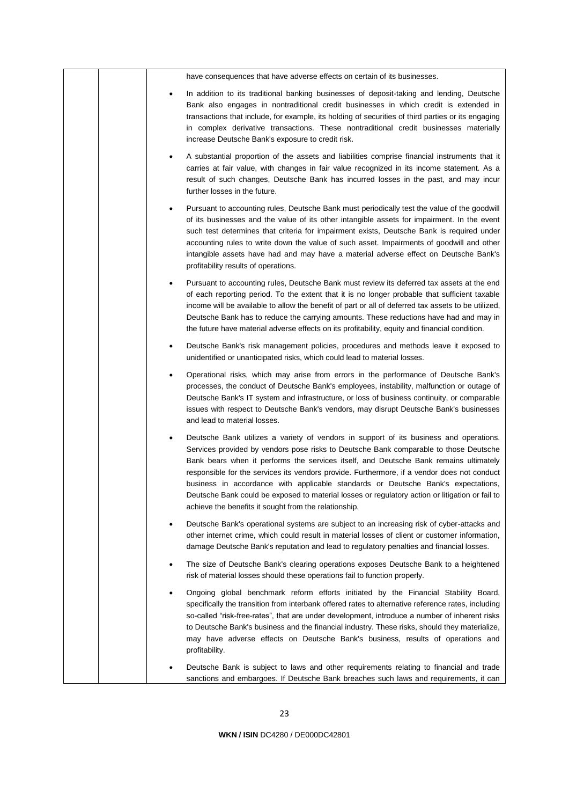| have consequences that have adverse effects on certain of its businesses.                                                                                                                                                                                                                                                                                                                                                                                                                                                                                                                                                |
|--------------------------------------------------------------------------------------------------------------------------------------------------------------------------------------------------------------------------------------------------------------------------------------------------------------------------------------------------------------------------------------------------------------------------------------------------------------------------------------------------------------------------------------------------------------------------------------------------------------------------|
| In addition to its traditional banking businesses of deposit-taking and lending, Deutsche<br>Bank also engages in nontraditional credit businesses in which credit is extended in<br>transactions that include, for example, its holding of securities of third parties or its engaging<br>in complex derivative transactions. These nontraditional credit businesses materially<br>increase Deutsche Bank's exposure to credit risk.                                                                                                                                                                                    |
| A substantial proportion of the assets and liabilities comprise financial instruments that it<br>carries at fair value, with changes in fair value recognized in its income statement. As a<br>result of such changes, Deutsche Bank has incurred losses in the past, and may incur<br>further losses in the future.                                                                                                                                                                                                                                                                                                     |
| Pursuant to accounting rules, Deutsche Bank must periodically test the value of the goodwill<br>٠<br>of its businesses and the value of its other intangible assets for impairment. In the event<br>such test determines that criteria for impairment exists, Deutsche Bank is required under<br>accounting rules to write down the value of such asset. Impairments of goodwill and other<br>intangible assets have had and may have a material adverse effect on Deutsche Bank's<br>profitability results of operations.                                                                                               |
| Pursuant to accounting rules, Deutsche Bank must review its deferred tax assets at the end<br>of each reporting period. To the extent that it is no longer probable that sufficient taxable<br>income will be available to allow the benefit of part or all of deferred tax assets to be utilized,<br>Deutsche Bank has to reduce the carrying amounts. These reductions have had and may in<br>the future have material adverse effects on its profitability, equity and financial condition.                                                                                                                           |
| Deutsche Bank's risk management policies, procedures and methods leave it exposed to<br>٠<br>unidentified or unanticipated risks, which could lead to material losses.                                                                                                                                                                                                                                                                                                                                                                                                                                                   |
| Operational risks, which may arise from errors in the performance of Deutsche Bank's<br>٠<br>processes, the conduct of Deutsche Bank's employees, instability, malfunction or outage of<br>Deutsche Bank's IT system and infrastructure, or loss of business continuity, or comparable<br>issues with respect to Deutsche Bank's vendors, may disrupt Deutsche Bank's businesses<br>and lead to material losses.                                                                                                                                                                                                         |
| Deutsche Bank utilizes a variety of vendors in support of its business and operations.<br>Services provided by vendors pose risks to Deutsche Bank comparable to those Deutsche<br>Bank bears when it performs the services itself, and Deutsche Bank remains ultimately<br>responsible for the services its vendors provide. Furthermore, if a vendor does not conduct<br>business in accordance with applicable standards or Deutsche Bank's expectations,<br>Deutsche Bank could be exposed to material losses or regulatory action or litigation or fail to<br>achieve the benefits it sought from the relationship. |
| Deutsche Bank's operational systems are subject to an increasing risk of cyber-attacks and<br>other internet crime, which could result in material losses of client or customer information,<br>damage Deutsche Bank's reputation and lead to regulatory penalties and financial losses.                                                                                                                                                                                                                                                                                                                                 |
| The size of Deutsche Bank's clearing operations exposes Deutsche Bank to a heightened<br>risk of material losses should these operations fail to function properly.                                                                                                                                                                                                                                                                                                                                                                                                                                                      |
| Ongoing global benchmark reform efforts initiated by the Financial Stability Board,<br>specifically the transition from interbank offered rates to alternative reference rates, including<br>so-called "risk-free-rates", that are under development, introduce a number of inherent risks<br>to Deutsche Bank's business and the financial industry. These risks, should they materialize,<br>may have adverse effects on Deutsche Bank's business, results of operations and<br>profitability.                                                                                                                         |
| Deutsche Bank is subject to laws and other requirements relating to financial and trade<br>sanctions and embargoes. If Deutsche Bank breaches such laws and requirements, it can                                                                                                                                                                                                                                                                                                                                                                                                                                         |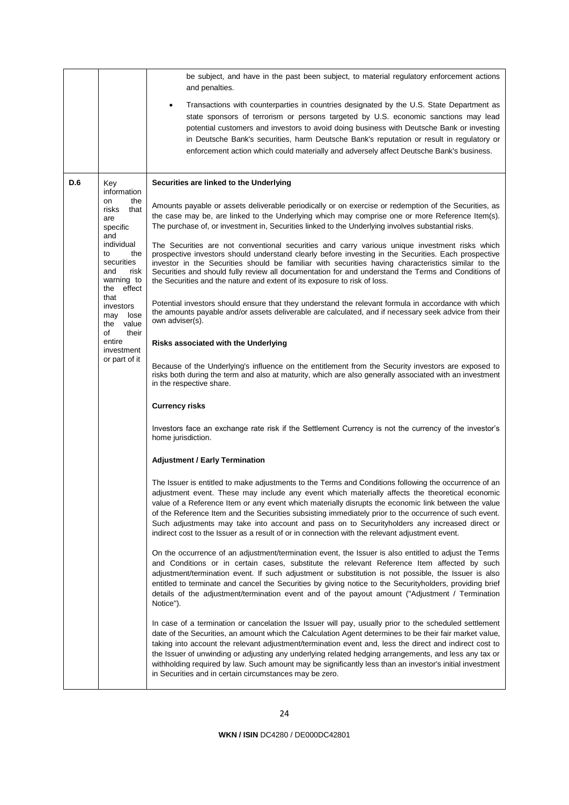|     |                                                                                            | be subject, and have in the past been subject, to material regulatory enforcement actions<br>and penalties.                                                                                                                                                                                                                                                                                                                                                                                                                                                                                                                    |
|-----|--------------------------------------------------------------------------------------------|--------------------------------------------------------------------------------------------------------------------------------------------------------------------------------------------------------------------------------------------------------------------------------------------------------------------------------------------------------------------------------------------------------------------------------------------------------------------------------------------------------------------------------------------------------------------------------------------------------------------------------|
|     |                                                                                            | Transactions with counterparties in countries designated by the U.S. State Department as<br>$\bullet$<br>state sponsors of terrorism or persons targeted by U.S. economic sanctions may lead<br>potential customers and investors to avoid doing business with Deutsche Bank or investing<br>in Deutsche Bank's securities, harm Deutsche Bank's reputation or result in regulatory or<br>enforcement action which could materially and adversely affect Deutsche Bank's business.                                                                                                                                             |
| D.6 | Key<br>information                                                                         | Securities are linked to the Underlying                                                                                                                                                                                                                                                                                                                                                                                                                                                                                                                                                                                        |
|     | on<br>the<br>risks<br>that<br>are<br>specific                                              | Amounts payable or assets deliverable periodically or on exercise or redemption of the Securities, as<br>the case may be, are linked to the Underlying which may comprise one or more Reference Item(s).<br>The purchase of, or investment in, Securities linked to the Underlying involves substantial risks.                                                                                                                                                                                                                                                                                                                 |
|     | and<br>individual<br>to<br>the<br>securities<br>and<br>risk<br>warning to<br>effect<br>the | The Securities are not conventional securities and carry various unique investment risks which<br>prospective investors should understand clearly before investing in the Securities. Each prospective<br>investor in the Securities should be familiar with securities having characteristics similar to the<br>Securities and should fully review all documentation for and understand the Terms and Conditions of<br>the Securities and the nature and extent of its exposure to risk of loss.                                                                                                                              |
|     | that<br>investors<br>may<br>lose<br>the value<br>of<br>their                               | Potential investors should ensure that they understand the relevant formula in accordance with which<br>the amounts payable and/or assets deliverable are calculated, and if necessary seek advice from their<br>own adviser(s).                                                                                                                                                                                                                                                                                                                                                                                               |
|     | entire<br>investment                                                                       | Risks associated with the Underlying                                                                                                                                                                                                                                                                                                                                                                                                                                                                                                                                                                                           |
|     | or part of it                                                                              | Because of the Underlying's influence on the entitlement from the Security investors are exposed to<br>risks both during the term and also at maturity, which are also generally associated with an investment<br>in the respective share.                                                                                                                                                                                                                                                                                                                                                                                     |
|     |                                                                                            | <b>Currency risks</b>                                                                                                                                                                                                                                                                                                                                                                                                                                                                                                                                                                                                          |
|     |                                                                                            | Investors face an exchange rate risk if the Settlement Currency is not the currency of the investor's<br>home jurisdiction.                                                                                                                                                                                                                                                                                                                                                                                                                                                                                                    |
|     |                                                                                            | <b>Adjustment / Early Termination</b>                                                                                                                                                                                                                                                                                                                                                                                                                                                                                                                                                                                          |
|     |                                                                                            | The Issuer is entitled to make adjustments to the Terms and Conditions following the occurrence of an<br>adjustment event. These may include any event which materially affects the theoretical economic<br>value of a Reference Item or any event which materially disrupts the economic link between the value<br>of the Reference Item and the Securities subsisting immediately prior to the occurrence of such event.<br>Such adjustments may take into account and pass on to Securityholders any increased direct or<br>indirect cost to the Issuer as a result of or in connection with the relevant adjustment event. |
|     |                                                                                            | On the occurrence of an adjustment/termination event, the Issuer is also entitled to adjust the Terms<br>and Conditions or in certain cases, substitute the relevant Reference Item affected by such<br>adjustment/termination event. If such adjustment or substitution is not possible, the Issuer is also<br>entitled to terminate and cancel the Securities by giving notice to the Securityholders, providing brief<br>details of the adjustment/termination event and of the payout amount ("Adjustment / Termination<br>Notice").                                                                                       |
|     |                                                                                            | In case of a termination or cancelation the Issuer will pay, usually prior to the scheduled settlement<br>date of the Securities, an amount which the Calculation Agent determines to be their fair market value,<br>taking into account the relevant adjustment/termination event and, less the direct and indirect cost to<br>the Issuer of unwinding or adjusting any underlying related hedging arrangements, and less any tax or<br>withholding required by law. Such amount may be significantly less than an investor's initial investment<br>in Securities and in certain circumstances may be zero.                   |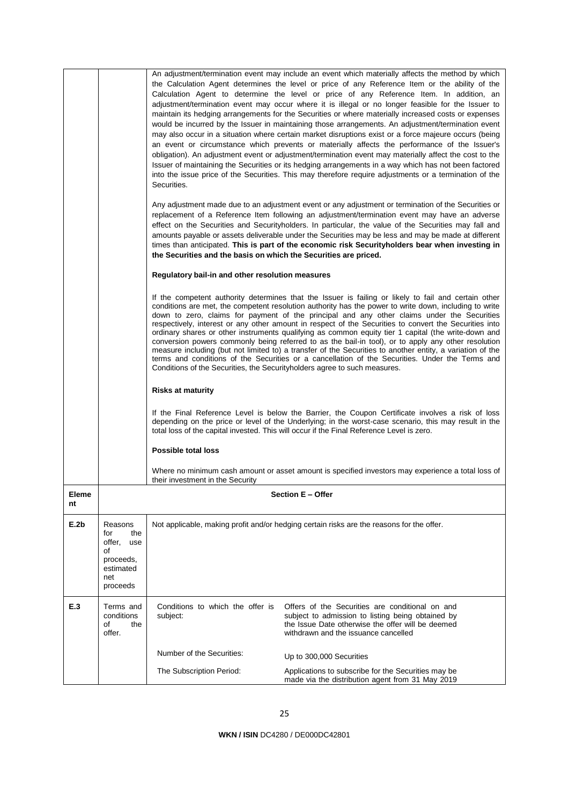|             |                                                                                           | Securities.                                                                | An adjustment/termination event may include an event which materially affects the method by which<br>the Calculation Agent determines the level or price of any Reference Item or the ability of the<br>Calculation Agent to determine the level or price of any Reference Item. In addition, an<br>adjustment/termination event may occur where it is illegal or no longer feasible for the Issuer to<br>maintain its hedging arrangements for the Securities or where materially increased costs or expenses<br>would be incurred by the Issuer in maintaining those arrangements. An adjustment/termination event<br>may also occur in a situation where certain market disruptions exist or a force majeure occurs (being<br>an event or circumstance which prevents or materially affects the performance of the Issuer's<br>obligation). An adjustment event or adjustment/termination event may materially affect the cost to the<br>Issuer of maintaining the Securities or its hedging arrangements in a way which has not been factored<br>into the issue price of the Securities. This may therefore require adjustments or a termination of the |
|-------------|-------------------------------------------------------------------------------------------|----------------------------------------------------------------------------|-------------------------------------------------------------------------------------------------------------------------------------------------------------------------------------------------------------------------------------------------------------------------------------------------------------------------------------------------------------------------------------------------------------------------------------------------------------------------------------------------------------------------------------------------------------------------------------------------------------------------------------------------------------------------------------------------------------------------------------------------------------------------------------------------------------------------------------------------------------------------------------------------------------------------------------------------------------------------------------------------------------------------------------------------------------------------------------------------------------------------------------------------------------|
|             |                                                                                           | the Securities and the basis on which the Securities are priced.           | Any adjustment made due to an adjustment event or any adjustment or termination of the Securities or<br>replacement of a Reference Item following an adjustment/termination event may have an adverse<br>effect on the Securities and Securityholders. In particular, the value of the Securities may fall and<br>amounts payable or assets deliverable under the Securities may be less and may be made at different<br>times than anticipated. This is part of the economic risk Securityholders bear when investing in                                                                                                                                                                                                                                                                                                                                                                                                                                                                                                                                                                                                                                   |
|             |                                                                                           | Regulatory bail-in and other resolution measures                           |                                                                                                                                                                                                                                                                                                                                                                                                                                                                                                                                                                                                                                                                                                                                                                                                                                                                                                                                                                                                                                                                                                                                                             |
|             |                                                                                           | Conditions of the Securities, the Security holders agree to such measures. | If the competent authority determines that the Issuer is failing or likely to fail and certain other<br>conditions are met, the competent resolution authority has the power to write down, including to write<br>down to zero, claims for payment of the principal and any other claims under the Securities<br>respectively, interest or any other amount in respect of the Securities to convert the Securities into<br>ordinary shares or other instruments qualifying as common equity tier 1 capital (the write-down and<br>conversion powers commonly being referred to as the bail-in tool), or to apply any other resolution<br>measure including (but not limited to) a transfer of the Securities to another entity, a variation of the<br>terms and conditions of the Securities or a cancellation of the Securities. Under the Terms and                                                                                                                                                                                                                                                                                                       |
|             |                                                                                           | <b>Risks at maturity</b>                                                   |                                                                                                                                                                                                                                                                                                                                                                                                                                                                                                                                                                                                                                                                                                                                                                                                                                                                                                                                                                                                                                                                                                                                                             |
|             |                                                                                           |                                                                            | If the Final Reference Level is below the Barrier, the Coupon Certificate involves a risk of loss<br>depending on the price or level of the Underlying; in the worst-case scenario, this may result in the<br>total loss of the capital invested. This will occur if the Final Reference Level is zero.                                                                                                                                                                                                                                                                                                                                                                                                                                                                                                                                                                                                                                                                                                                                                                                                                                                     |
|             |                                                                                           | <b>Possible total loss</b>                                                 |                                                                                                                                                                                                                                                                                                                                                                                                                                                                                                                                                                                                                                                                                                                                                                                                                                                                                                                                                                                                                                                                                                                                                             |
|             |                                                                                           | their investment in the Security                                           | Where no minimum cash amount or asset amount is specified investors may experience a total loss of                                                                                                                                                                                                                                                                                                                                                                                                                                                                                                                                                                                                                                                                                                                                                                                                                                                                                                                                                                                                                                                          |
| Eleme<br>nt |                                                                                           |                                                                            | Section E - Offer                                                                                                                                                                                                                                                                                                                                                                                                                                                                                                                                                                                                                                                                                                                                                                                                                                                                                                                                                                                                                                                                                                                                           |
| E.2b        | Reasons<br>the<br>for<br>offer,<br>use<br>οf<br>proceeds,<br>estimated<br>net<br>proceeds |                                                                            | Not applicable, making profit and/or hedging certain risks are the reasons for the offer.                                                                                                                                                                                                                                                                                                                                                                                                                                                                                                                                                                                                                                                                                                                                                                                                                                                                                                                                                                                                                                                                   |
| E.3         | Terms and<br>conditions<br>of<br>the<br>offer.                                            | Conditions to which the offer is<br>subject:                               | Offers of the Securities are conditional on and<br>subject to admission to listing being obtained by<br>the Issue Date otherwise the offer will be deemed<br>withdrawn and the issuance cancelled                                                                                                                                                                                                                                                                                                                                                                                                                                                                                                                                                                                                                                                                                                                                                                                                                                                                                                                                                           |
|             |                                                                                           | Number of the Securities:                                                  | Up to 300,000 Securities                                                                                                                                                                                                                                                                                                                                                                                                                                                                                                                                                                                                                                                                                                                                                                                                                                                                                                                                                                                                                                                                                                                                    |
|             |                                                                                           | The Subscription Period:                                                   | Applications to subscribe for the Securities may be<br>made via the distribution agent from 31 May 2019                                                                                                                                                                                                                                                                                                                                                                                                                                                                                                                                                                                                                                                                                                                                                                                                                                                                                                                                                                                                                                                     |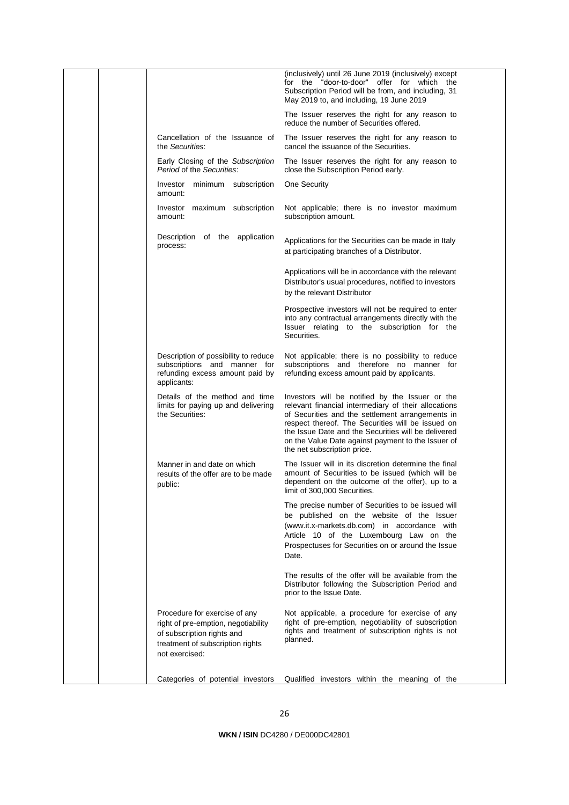|  |                                                                                                                                                          | (inclusively) until 26 June 2019 (inclusively) except<br>for the "door-to-door" offer for which the<br>Subscription Period will be from, and including, 31<br>May 2019 to, and including, 19 June 2019                                                                                                                                                       |
|--|----------------------------------------------------------------------------------------------------------------------------------------------------------|--------------------------------------------------------------------------------------------------------------------------------------------------------------------------------------------------------------------------------------------------------------------------------------------------------------------------------------------------------------|
|  |                                                                                                                                                          | The Issuer reserves the right for any reason to<br>reduce the number of Securities offered.                                                                                                                                                                                                                                                                  |
|  | Cancellation of the Issuance of<br>the Securities:                                                                                                       | The Issuer reserves the right for any reason to<br>cancel the issuance of the Securities.                                                                                                                                                                                                                                                                    |
|  | Early Closing of the Subscription<br>Period of the Securities:                                                                                           | The Issuer reserves the right for any reason to<br>close the Subscription Period early.                                                                                                                                                                                                                                                                      |
|  | Investor minimum subscription<br>amount:                                                                                                                 | One Security                                                                                                                                                                                                                                                                                                                                                 |
|  | Investor maximum subscription<br>amount:                                                                                                                 | Not applicable; there is no investor maximum<br>subscription amount.                                                                                                                                                                                                                                                                                         |
|  | Description of the application<br>process:                                                                                                               | Applications for the Securities can be made in Italy<br>at participating branches of a Distributor.                                                                                                                                                                                                                                                          |
|  |                                                                                                                                                          | Applications will be in accordance with the relevant<br>Distributor's usual procedures, notified to investors<br>by the relevant Distributor                                                                                                                                                                                                                 |
|  |                                                                                                                                                          | Prospective investors will not be required to enter<br>into any contractual arrangements directly with the<br>Issuer relating to the subscription for the<br>Securities.                                                                                                                                                                                     |
|  | Description of possibility to reduce<br>subscriptions and manner for<br>refunding excess amount paid by<br>applicants:                                   | Not applicable; there is no possibility to reduce<br>subscriptions and therefore no manner for<br>refunding excess amount paid by applicants.                                                                                                                                                                                                                |
|  | Details of the method and time<br>limits for paying up and delivering<br>the Securities:                                                                 | Investors will be notified by the Issuer or the<br>relevant financial intermediary of their allocations<br>of Securities and the settlement arrangements in<br>respect thereof. The Securities will be issued on<br>the Issue Date and the Securities will be delivered<br>on the Value Date against payment to the Issuer of<br>the net subscription price. |
|  | Manner in and date on which<br>results of the offer are to be made<br>public:                                                                            | The Issuer will in its discretion determine the final<br>amount of Securities to be issued (which will be<br>dependent on the outcome of the offer), up to a<br>limit of 300,000 Securities.                                                                                                                                                                 |
|  |                                                                                                                                                          | The precise number of Securities to be issued will<br>be published on the website of the Issuer<br>(www.it.x-markets.db.com) in accordance with<br>Article 10 of the Luxembourg Law on the<br>Prospectuses for Securities on or around the Issue<br>Date.                                                                                                    |
|  |                                                                                                                                                          | The results of the offer will be available from the<br>Distributor following the Subscription Period and<br>prior to the Issue Date.                                                                                                                                                                                                                         |
|  | Procedure for exercise of any<br>right of pre-emption, negotiability<br>of subscription rights and<br>treatment of subscription rights<br>not exercised: | Not applicable, a procedure for exercise of any<br>right of pre-emption, negotiability of subscription<br>rights and treatment of subscription rights is not<br>planned.                                                                                                                                                                                     |
|  | Categories of potential investors                                                                                                                        | Qualified investors within the meaning of the                                                                                                                                                                                                                                                                                                                |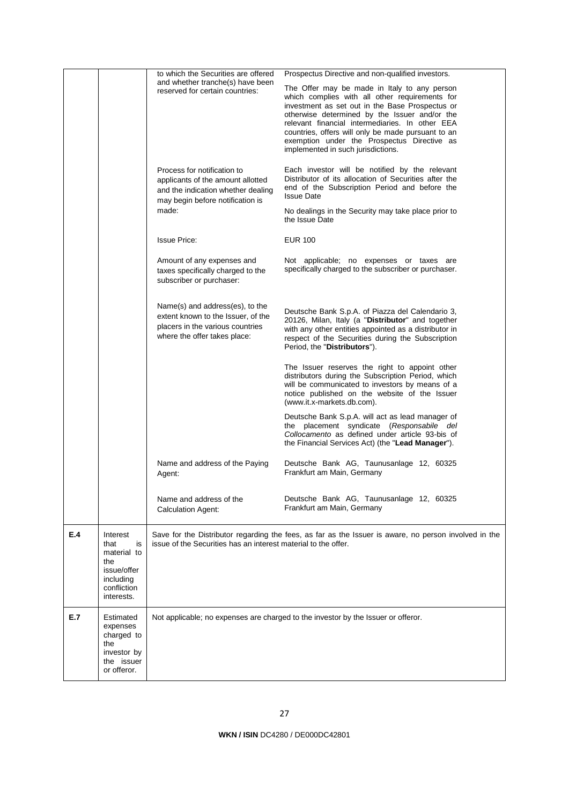|     |                                                                                                       | to which the Securities are offered                                                                                                                 | Prospectus Directive and non-qualified investors.                                                                                                                                                                                                                                                                                                                                                |
|-----|-------------------------------------------------------------------------------------------------------|-----------------------------------------------------------------------------------------------------------------------------------------------------|--------------------------------------------------------------------------------------------------------------------------------------------------------------------------------------------------------------------------------------------------------------------------------------------------------------------------------------------------------------------------------------------------|
|     |                                                                                                       | and whether tranche(s) have been<br>reserved for certain countries:                                                                                 | The Offer may be made in Italy to any person<br>which complies with all other requirements for<br>investment as set out in the Base Prospectus or<br>otherwise determined by the Issuer and/or the<br>relevant financial intermediaries. In other EEA<br>countries, offers will only be made pursuant to an<br>exemption under the Prospectus Directive as<br>implemented in such jurisdictions. |
|     |                                                                                                       | Process for notification to<br>applicants of the amount allotted<br>and the indication whether dealing<br>may begin before notification is<br>made: | Each investor will be notified by the relevant<br>Distributor of its allocation of Securities after the<br>end of the Subscription Period and before the<br><b>Issue Date</b><br>No dealings in the Security may take place prior to                                                                                                                                                             |
|     |                                                                                                       |                                                                                                                                                     | the Issue Date                                                                                                                                                                                                                                                                                                                                                                                   |
|     |                                                                                                       | <b>Issue Price:</b>                                                                                                                                 | <b>EUR 100</b>                                                                                                                                                                                                                                                                                                                                                                                   |
|     |                                                                                                       | Amount of any expenses and<br>taxes specifically charged to the<br>subscriber or purchaser:                                                         | Not applicable; no expenses or taxes are<br>specifically charged to the subscriber or purchaser.                                                                                                                                                                                                                                                                                                 |
|     |                                                                                                       | Name(s) and address(es), to the<br>extent known to the Issuer, of the<br>placers in the various countries<br>where the offer takes place:           | Deutsche Bank S.p.A. of Piazza del Calendario 3,<br>20126, Milan, Italy (a "Distributor" and together<br>with any other entities appointed as a distributor in<br>respect of the Securities during the Subscription<br>Period, the "Distributors").                                                                                                                                              |
|     |                                                                                                       |                                                                                                                                                     | The Issuer reserves the right to appoint other<br>distributors during the Subscription Period, which<br>will be communicated to investors by means of a<br>notice published on the website of the Issuer<br>(www.it.x-markets.db.com).                                                                                                                                                           |
|     |                                                                                                       |                                                                                                                                                     | Deutsche Bank S.p.A. will act as lead manager of<br>the placement syndicate (Responsabile del<br>Collocamento as defined under article 93-bis of<br>the Financial Services Act) (the "Lead Manager").                                                                                                                                                                                            |
|     |                                                                                                       | Name and address of the Paying<br>Agent:                                                                                                            | Deutsche Bank AG, Taunusanlage 12, 60325<br>Frankfurt am Main, Germany                                                                                                                                                                                                                                                                                                                           |
|     |                                                                                                       | Name and address of the<br><b>Calculation Agent:</b>                                                                                                | Deutsche Bank AG, Taunusanlage 12, 60325<br>Frankfurt am Main, Germany                                                                                                                                                                                                                                                                                                                           |
| E.4 | Interest<br>that<br>is<br>material to<br>the<br>issue/offer<br>including<br>confliction<br>interests. | issue of the Securities has an interest material to the offer.                                                                                      | Save for the Distributor regarding the fees, as far as the Issuer is aware, no person involved in the                                                                                                                                                                                                                                                                                            |
| E.7 | Estimated<br>expenses<br>charged to<br>the<br>investor by<br>the issuer<br>or offeror.                |                                                                                                                                                     | Not applicable; no expenses are charged to the investor by the Issuer or offeror.                                                                                                                                                                                                                                                                                                                |